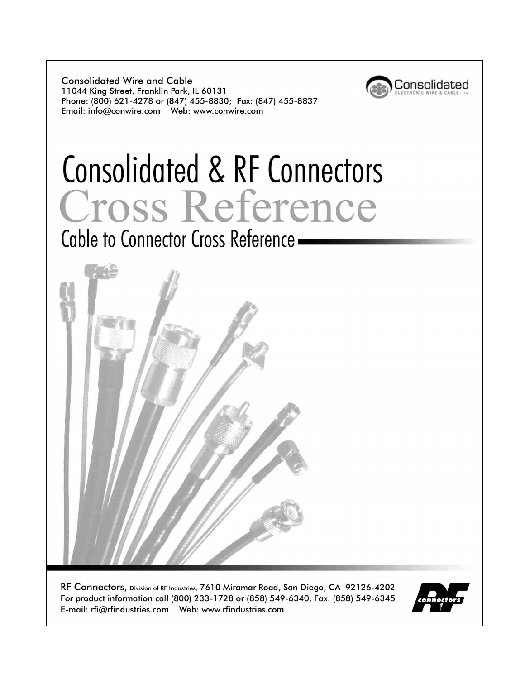**Consolidated Wire and Cable** 11044 King Street, Franklin Park, IL 60131 Phone: (800) 621-4278 or (847) 455-8830; Fax: (847) 455-8837 



# Consolidated & RF Connectors Cross Reference

Cable to Connector Cross Reference -



RF Connectors, Division of RF Industries, 7610 Miramar Road, San Diego, CA 92126-4202 For product information call (800) 233-1728 or (858) 549-6340, Fax: (858) 549-6345 

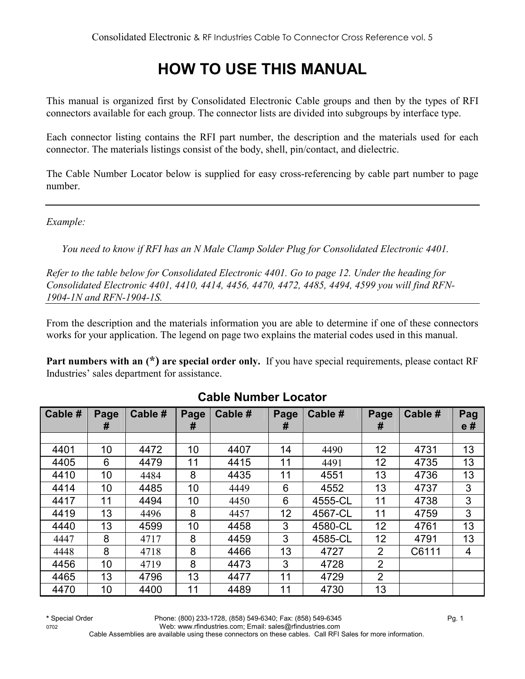# **HOW TO USE THIS MANUAL**

This manual is organized first by Consolidated Electronic Cable groups and then by the types of RFI connectors available for each group. The connector lists are divided into subgroups by interface type.

Each connector listing contains the RFI part number, the description and the materials used for each connector. The materials listings consist of the body, shell, pin/contact, and dielectric.

The Cable Number Locator below is supplied for easy cross-referencing by cable part number to page number.

*Example:* 

*You need to know if RFI has an N Male Clamp Solder Plug for Consolidated Electronic 4401.* 

*Refer to the table below for Consolidated Electronic 4401. Go to page 12. Under the heading for Consolidated Electronic 4401, 4410, 4414, 4456, 4470, 4472, 4485, 4494, 4599 you will find RFN-1904-1N and RFN-1904-1S.* 

From the description and the materials information you are able to determine if one of these connectors works for your application. The legend on page two explains the material codes used in this manual.

**Part numbers with an (\*) are special order only.** If you have special requirements, please contact RF Industries' sales department for assistance.

| Cable # | Page<br># | Cable # | Page<br># | Cable # | Page<br># | Cable # | Page<br>#       | Cable # | Pag<br>e# |
|---------|-----------|---------|-----------|---------|-----------|---------|-----------------|---------|-----------|
|         |           |         |           |         |           |         |                 |         |           |
| 4401    | 10        | 4472    | 10        | 4407    | 14        | 4490    | 12 <sub>2</sub> | 4731    | 13        |
| 4405    | 6         | 4479    | 11        | 4415    | 11        | 4491    | 12 <sub>2</sub> | 4735    | 13        |
| 4410    | 10        | 4484    | 8         | 4435    | 11        | 4551    | 13              | 4736    | 13        |
| 4414    | 10        | 4485    | 10        | 4449    | 6         | 4552    | 13              | 4737    | 3         |
| 4417    | 11        | 4494    | 10        | 4450    | 6         | 4555-CL | 11              | 4738    | 3         |
| 4419    | 13        | 4496    | 8         | 4457    | 12        | 4567-CL | 11              | 4759    | 3         |
| 4440    | 13        | 4599    | 10        | 4458    | 3         | 4580-CL | 12              | 4761    | 13        |
| 4447    | 8         | 4717    | 8         | 4459    | 3         | 4585-CL | 12              | 4791    | 13        |
| 4448    | 8         | 4718    | 8         | 4466    | 13        | 4727    | $\overline{2}$  | C6111   | 4         |
| 4456    | 10        | 4719    | 8         | 4473    | 3         | 4728    | $\overline{2}$  |         |           |
| 4465    | 13        | 4796    | 13        | 4477    | 11        | 4729    | $\overline{2}$  |         |           |
| 4470    | 10        | 4400    | 11        | 4489    | 11        | 4730    | 13              |         |           |

#### **Cable Number Locator**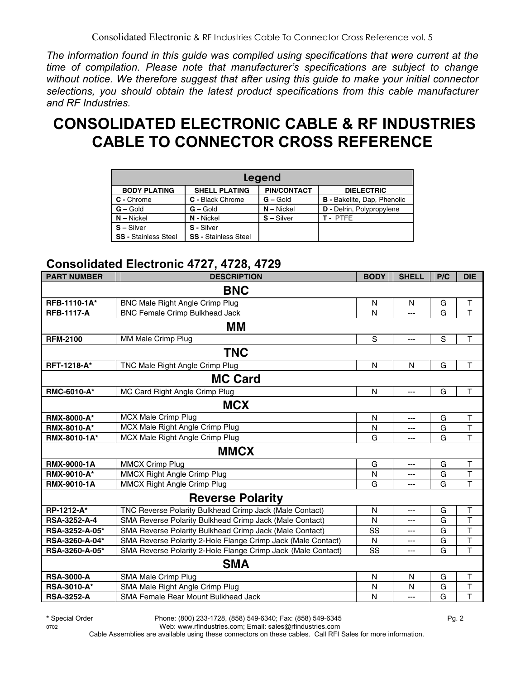*The information found in this guide was compiled using specifications that were current at the time of compilation. Please note that manufacturer's specifications are subject to change without notice. We therefore suggest that after using this guide to make your initial connector selections, you should obtain the latest product specifications from this cable manufacturer and RF Industries.*

# **CONSOLIDATED ELECTRONIC CABLE & RF INDUSTRIES CABLE TO CONNECTOR CROSS REFERENCE**

|                             |                             | Legend             |                                    |
|-----------------------------|-----------------------------|--------------------|------------------------------------|
| <b>BODY PLATING</b>         | <b>SHELL PLATING</b>        | <b>PIN/CONTACT</b> | <b>DIELECTRIC</b>                  |
| C - Chrome                  | C - Black Chrome            | $G -$ Gold         | <b>B</b> - Bakelite, Dap, Phenolic |
| $G -$ Gold                  | $G - Gold$                  | $N - Nickel$       | D - Delrin, Polypropylene          |
| $N - Nickel$                | N - Nickel                  | $S - Silver$       | <b>T-PTFE</b>                      |
| S-Silver                    | S - Silver                  |                    |                                    |
| <b>SS - Stainless Steel</b> | <b>SS - Stainless Steel</b> |                    |                                    |

#### **Consolidated Electronic 4727, 4728, 4729**

| <b>PART NUMBER</b>  | <b>DESCRIPTION</b>                                           | <b>BODY</b> | <b>SHELL</b> | P/C | <b>DIE</b>              |
|---------------------|--------------------------------------------------------------|-------------|--------------|-----|-------------------------|
|                     | <b>BNC</b>                                                   |             |              |     |                         |
| RFB-1110-1A*        | <b>BNC Male Right Angle Crimp Plug</b>                       | N           | N            | G   | Т                       |
| <b>RFB-1117-A</b>   | <b>BNC Female Crimp Bulkhead Jack</b>                        | N           | ---          | G   | $\overline{\mathsf{T}}$ |
|                     | MМ                                                           |             |              |     |                         |
| <b>RFM-2100</b>     | MM Male Crimp Plug                                           | S           | ---          | S   | $\mathsf{T}$            |
|                     | <b>TNC</b>                                                   |             |              |     |                         |
| <b>RFT-1218-A*</b>  | TNC Male Right Angle Crimp Plug                              | N           | N            | G   | T                       |
|                     | <b>MC Card</b>                                               |             |              |     |                         |
| <b>RMC-6010-A*</b>  | MC Card Right Angle Crimp Plug                               | N           | ---          | G   | T                       |
|                     | <b>MCX</b>                                                   |             |              |     |                         |
| <b>RMX-8000-A*</b>  | MCX Male Crimp Plug                                          | N           | ---          | G   | $\top$                  |
| <b>RMX-8010-A*</b>  | MCX Male Right Angle Crimp Plug                              | N           | ---          | G   | $\mathsf T$             |
| RMX-8010-1A*        | MCX Male Right Angle Crimp Plug                              | G           | $---$        | G   | $\overline{\mathsf{T}}$ |
|                     | <b>MMCX</b>                                                  |             |              |     |                         |
| <b>RMX-9000-1A</b>  | <b>MMCX Crimp Plug</b>                                       | G           | $---$        | G   | $\top$                  |
| RMX-9010-A*         | <b>MMCX Right Angle Crimp Plug</b>                           | N           | ---          | G   | $\top$                  |
| RMX-9010-1A         | MMCX Right Angle Crimp Plug                                  | G           | ---          | G   | T                       |
|                     | <b>Reverse Polarity</b>                                      |             |              |     |                         |
| RP-1212-A*          | TNC Reverse Polarity Bulkhead Crimp Jack (Male Contact)      | N           | ---          | G   | $\top$                  |
| <b>RSA-3252-A-4</b> | SMA Reverse Polarity Bulkhead Crimp Jack (Male Contact)      | N           | ---          | G   | $\overline{\mathsf{T}}$ |
| RSA-3252-A-05*      | SMA Reverse Polarity Bulkhead Crimp Jack (Male Contact)      | SS          | ---          | G   | $\overline{\mathsf{T}}$ |
| RSA-3260-A-04*      | SMA Reverse Polarity 2-Hole Flange Crimp Jack (Male Contact) | N           | ---          | G   | $\overline{\mathsf{T}}$ |
| RSA-3260-A-05*      | SMA Reverse Polarity 2-Hole Flange Crimp Jack (Male Contact) | SS          | ---          | G   | T                       |
|                     | <b>SMA</b>                                                   |             |              |     |                         |
| <b>RSA-3000-A</b>   | SMA Male Crimp Plug                                          | N           | N            | G   | T                       |
| RSA-3010-A*         | SMA Male Right Angle Crimp Plug                              | N           | N            | G   | T                       |
| <b>RSA-3252-A</b>   | SMA Female Rear Mount Bulkhead Jack                          | N           | ---          | G   | T                       |

**\*** Special Order Phone: (800) 233-1728, (858) 549-6340; Fax: (858) 549-6345 Pg. 2

0702 Web: www.rfindustries.com; Email: sales@rfindustries.com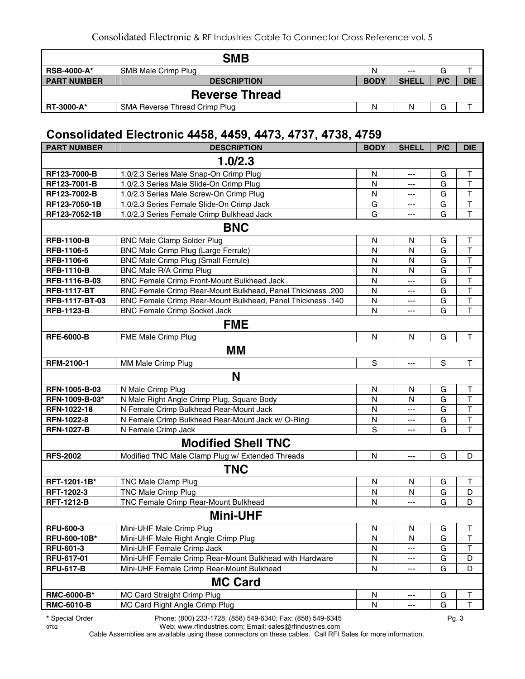|                    | <b>SMB</b>                    |             |              |     |            |  |  |  |
|--------------------|-------------------------------|-------------|--------------|-----|------------|--|--|--|
| <b>RSB-4000-A*</b> | SMB Male Crimp Plug           | N           | $---$        | G   |            |  |  |  |
| <b>PART NUMBER</b> | <b>DESCRIPTION</b>            | <b>BODY</b> | <b>SHELL</b> | P/C | <b>DIE</b> |  |  |  |
|                    | <b>Reverse Thread</b>         |             |              |     |            |  |  |  |
| <b>RT-3000-A*</b>  | SMA Reverse Thread Crimp Plug | N           | Ν            | G   |            |  |  |  |

#### **Consolidated Electronic 4458, 4459, 4473, 4737, 4738, 4759**

| 1.0/2.3<br>$\sf T$<br>1.0/2.3 Series Male Snap-On Crimp Plug<br>$\mathsf{N}$<br>RF123-7000-B<br>G<br>---<br>T<br>RF123-7001-B<br>$\mathsf{N}$<br>G<br>1.0/2.3 Series Male Slide-On Crimp Plug<br>---<br>T<br>1.0/2.3 Series Male Screw-On Crimp Plug<br>$\mathsf{N}$<br>RF123-7002-B<br>G<br>---<br>$\mathsf T$<br>1.0/2.3 Series Female Slide-On Crimp Jack<br>RF123-7050-1B<br>G<br>G<br>---<br>$\overline{\mathsf{T}}$<br>RF123-7052-1B<br>1.0/2.3 Series Female Crimp Bulkhead Jack<br>G<br>G<br>$\overline{a}$<br><b>BNC</b><br><b>RFB-1100-B</b><br><b>BNC Male Clamp Solder Plug</b><br>N<br>Τ<br>N<br>G<br>$\mathsf{T}$<br>RFB-1106-5<br>BNC Male Crimp Plug (Large Ferrule)<br>$\mathsf{N}$<br>G<br>N<br>$\mathsf T$<br><b>BNC Male Crimp Plug (Small Ferrule)</b><br>$\mathsf{N}$<br>G<br>RFB-1106-6<br>N<br>$\top$<br><b>RFB-1110-B</b><br>BNC Male R/A Crimp Plug<br>N<br>G<br>N<br>BNC Female Crimp Front-Mount Bulkhead Jack<br>$\sf T$<br>RFB-1116-B-03<br>G<br>N<br>$\overline{a}$<br>$\top$<br><b>RFB-1117-BT</b><br>BNC Female Crimp Rear-Mount Bulkhead, Panel Thickness .200<br>N<br>G<br>---<br>$\top$<br><b>BNC Female Crimp Rear-Mount Bulkhead, Panel Thickness .140</b><br>G<br>RFB-1117-BT-03<br>N<br>---<br>$\top$<br>G<br><b>BNC Female Crimp Socket Jack</b><br>N<br><b>RFB-1123-B</b><br>---<br><b>FME</b><br>$\mathsf{N}$<br>G<br><b>RFE-6000-B</b><br>FME Male Crimp Plug<br>N<br>Τ<br>МM<br>S<br>$\mathbf S$<br><b>RFM-2100-1</b><br>MM Male Crimp Plug<br>$\mathsf T$<br>---<br>N<br>RFN-1005-B-03<br>N Male Crimp Plug<br>$\mathsf T$<br>N<br>N<br>G<br>T<br>N Male Right Angle Crimp Plug, Square Body<br>$\mathsf{N}$<br>$\mathsf{N}$<br>G<br>RFN-1009-B-03*<br>$\overline{\mathsf{T}}$<br>N Female Crimp Bulkhead Rear-Mount Jack<br>RFN-1022-18<br>$\mathsf{N}$<br>G<br>$---$<br>$\sf T$<br>RFN-1022-8<br>N Female Crimp Bulkhead Rear-Mount Jack w/ O-Ring<br>N<br>G<br>---<br>$\mathsf{T}$<br>S<br><b>RFN-1027-B</b><br>N Female Crimp Jack<br>G<br>---<br><b>Modified Shell TNC</b><br><b>RFS-2002</b><br>Modified TNC Male Clamp Plug w/ Extended Threads<br>$\mathsf{N}$<br>G<br>D<br>$---$<br><b>TNC</b><br>RFT-1201-1B*<br><b>TNC Male Clamp Plug</b><br>N<br>N<br>Τ<br>G<br>RFT-1202-3<br>$\mathsf D$<br><b>TNC Male Crimp Plug</b><br>N<br>N<br>G<br><b>RFT-1212-B</b><br>TNC Female Crimp Rear-Mount Bulkhead<br>N<br>G<br>D<br>$\overline{a}$<br><b>Mini-UHF</b><br><b>RFU-600-3</b><br>Mini-UHF Male Crimp Plug<br>N<br>N<br>G<br>Т<br>T<br>$\mathsf{N}$<br>G<br>RFU-600-10B*<br>Mini-UHF Male Right Angle Crimp Plug<br>N<br>RFU-601-3<br>Mini-UHF Female Crimp Jack<br>N<br>G<br>Τ<br>$---$<br>RFU-617-01<br>Mini-UHF Female Crimp Rear-Mount Bulkhead with Hardware<br>N<br>G<br>D<br>---<br><b>RFU-617-B</b><br>Mini-UHF Female Crimp Rear-Mount Bulkhead<br>N<br>G<br>D<br>---<br><b>MC Card</b><br><b>RMC-6000-B*</b><br>MC Card Straight Crimp Plug<br>N<br>G<br>Τ<br>---<br><b>RMC-6010-B</b><br>MC Card Right Angle Crimp Plug<br>Τ<br>N<br>G<br>--- | <b>PART NUMBER</b> | <b>DESCRIPTION</b> | <b>BODY</b> | <b>SHELL</b> | P/C | <b>DIE</b> |
|------------------------------------------------------------------------------------------------------------------------------------------------------------------------------------------------------------------------------------------------------------------------------------------------------------------------------------------------------------------------------------------------------------------------------------------------------------------------------------------------------------------------------------------------------------------------------------------------------------------------------------------------------------------------------------------------------------------------------------------------------------------------------------------------------------------------------------------------------------------------------------------------------------------------------------------------------------------------------------------------------------------------------------------------------------------------------------------------------------------------------------------------------------------------------------------------------------------------------------------------------------------------------------------------------------------------------------------------------------------------------------------------------------------------------------------------------------------------------------------------------------------------------------------------------------------------------------------------------------------------------------------------------------------------------------------------------------------------------------------------------------------------------------------------------------------------------------------------------------------------------------------------------------------------------------------------------------------------------------------------------------------------------------------------------------------------------------------------------------------------------------------------------------------------------------------------------------------------------------------------------------------------------------------------------------------------------------------------------------------------------------------------------------------------------------------------------------------------------------------------------------------------------------------------------------------------------------------------------------------------------------------------------------------------------------------------------------------------------------------------------------------------------------------------------------------------------------------------------------------------------------------------------------------------------------------------------------------------------------------------------------------|--------------------|--------------------|-------------|--------------|-----|------------|
|                                                                                                                                                                                                                                                                                                                                                                                                                                                                                                                                                                                                                                                                                                                                                                                                                                                                                                                                                                                                                                                                                                                                                                                                                                                                                                                                                                                                                                                                                                                                                                                                                                                                                                                                                                                                                                                                                                                                                                                                                                                                                                                                                                                                                                                                                                                                                                                                                                                                                                                                                                                                                                                                                                                                                                                                                                                                                                                                                                                                                  |                    |                    |             |              |     |            |
|                                                                                                                                                                                                                                                                                                                                                                                                                                                                                                                                                                                                                                                                                                                                                                                                                                                                                                                                                                                                                                                                                                                                                                                                                                                                                                                                                                                                                                                                                                                                                                                                                                                                                                                                                                                                                                                                                                                                                                                                                                                                                                                                                                                                                                                                                                                                                                                                                                                                                                                                                                                                                                                                                                                                                                                                                                                                                                                                                                                                                  |                    |                    |             |              |     |            |
|                                                                                                                                                                                                                                                                                                                                                                                                                                                                                                                                                                                                                                                                                                                                                                                                                                                                                                                                                                                                                                                                                                                                                                                                                                                                                                                                                                                                                                                                                                                                                                                                                                                                                                                                                                                                                                                                                                                                                                                                                                                                                                                                                                                                                                                                                                                                                                                                                                                                                                                                                                                                                                                                                                                                                                                                                                                                                                                                                                                                                  |                    |                    |             |              |     |            |
|                                                                                                                                                                                                                                                                                                                                                                                                                                                                                                                                                                                                                                                                                                                                                                                                                                                                                                                                                                                                                                                                                                                                                                                                                                                                                                                                                                                                                                                                                                                                                                                                                                                                                                                                                                                                                                                                                                                                                                                                                                                                                                                                                                                                                                                                                                                                                                                                                                                                                                                                                                                                                                                                                                                                                                                                                                                                                                                                                                                                                  |                    |                    |             |              |     |            |
|                                                                                                                                                                                                                                                                                                                                                                                                                                                                                                                                                                                                                                                                                                                                                                                                                                                                                                                                                                                                                                                                                                                                                                                                                                                                                                                                                                                                                                                                                                                                                                                                                                                                                                                                                                                                                                                                                                                                                                                                                                                                                                                                                                                                                                                                                                                                                                                                                                                                                                                                                                                                                                                                                                                                                                                                                                                                                                                                                                                                                  |                    |                    |             |              |     |            |
|                                                                                                                                                                                                                                                                                                                                                                                                                                                                                                                                                                                                                                                                                                                                                                                                                                                                                                                                                                                                                                                                                                                                                                                                                                                                                                                                                                                                                                                                                                                                                                                                                                                                                                                                                                                                                                                                                                                                                                                                                                                                                                                                                                                                                                                                                                                                                                                                                                                                                                                                                                                                                                                                                                                                                                                                                                                                                                                                                                                                                  |                    |                    |             |              |     |            |
|                                                                                                                                                                                                                                                                                                                                                                                                                                                                                                                                                                                                                                                                                                                                                                                                                                                                                                                                                                                                                                                                                                                                                                                                                                                                                                                                                                                                                                                                                                                                                                                                                                                                                                                                                                                                                                                                                                                                                                                                                                                                                                                                                                                                                                                                                                                                                                                                                                                                                                                                                                                                                                                                                                                                                                                                                                                                                                                                                                                                                  |                    |                    |             |              |     |            |
|                                                                                                                                                                                                                                                                                                                                                                                                                                                                                                                                                                                                                                                                                                                                                                                                                                                                                                                                                                                                                                                                                                                                                                                                                                                                                                                                                                                                                                                                                                                                                                                                                                                                                                                                                                                                                                                                                                                                                                                                                                                                                                                                                                                                                                                                                                                                                                                                                                                                                                                                                                                                                                                                                                                                                                                                                                                                                                                                                                                                                  |                    |                    |             |              |     |            |
|                                                                                                                                                                                                                                                                                                                                                                                                                                                                                                                                                                                                                                                                                                                                                                                                                                                                                                                                                                                                                                                                                                                                                                                                                                                                                                                                                                                                                                                                                                                                                                                                                                                                                                                                                                                                                                                                                                                                                                                                                                                                                                                                                                                                                                                                                                                                                                                                                                                                                                                                                                                                                                                                                                                                                                                                                                                                                                                                                                                                                  |                    |                    |             |              |     |            |
|                                                                                                                                                                                                                                                                                                                                                                                                                                                                                                                                                                                                                                                                                                                                                                                                                                                                                                                                                                                                                                                                                                                                                                                                                                                                                                                                                                                                                                                                                                                                                                                                                                                                                                                                                                                                                                                                                                                                                                                                                                                                                                                                                                                                                                                                                                                                                                                                                                                                                                                                                                                                                                                                                                                                                                                                                                                                                                                                                                                                                  |                    |                    |             |              |     |            |
|                                                                                                                                                                                                                                                                                                                                                                                                                                                                                                                                                                                                                                                                                                                                                                                                                                                                                                                                                                                                                                                                                                                                                                                                                                                                                                                                                                                                                                                                                                                                                                                                                                                                                                                                                                                                                                                                                                                                                                                                                                                                                                                                                                                                                                                                                                                                                                                                                                                                                                                                                                                                                                                                                                                                                                                                                                                                                                                                                                                                                  |                    |                    |             |              |     |            |
|                                                                                                                                                                                                                                                                                                                                                                                                                                                                                                                                                                                                                                                                                                                                                                                                                                                                                                                                                                                                                                                                                                                                                                                                                                                                                                                                                                                                                                                                                                                                                                                                                                                                                                                                                                                                                                                                                                                                                                                                                                                                                                                                                                                                                                                                                                                                                                                                                                                                                                                                                                                                                                                                                                                                                                                                                                                                                                                                                                                                                  |                    |                    |             |              |     |            |
|                                                                                                                                                                                                                                                                                                                                                                                                                                                                                                                                                                                                                                                                                                                                                                                                                                                                                                                                                                                                                                                                                                                                                                                                                                                                                                                                                                                                                                                                                                                                                                                                                                                                                                                                                                                                                                                                                                                                                                                                                                                                                                                                                                                                                                                                                                                                                                                                                                                                                                                                                                                                                                                                                                                                                                                                                                                                                                                                                                                                                  |                    |                    |             |              |     |            |
|                                                                                                                                                                                                                                                                                                                                                                                                                                                                                                                                                                                                                                                                                                                                                                                                                                                                                                                                                                                                                                                                                                                                                                                                                                                                                                                                                                                                                                                                                                                                                                                                                                                                                                                                                                                                                                                                                                                                                                                                                                                                                                                                                                                                                                                                                                                                                                                                                                                                                                                                                                                                                                                                                                                                                                                                                                                                                                                                                                                                                  |                    |                    |             |              |     |            |
|                                                                                                                                                                                                                                                                                                                                                                                                                                                                                                                                                                                                                                                                                                                                                                                                                                                                                                                                                                                                                                                                                                                                                                                                                                                                                                                                                                                                                                                                                                                                                                                                                                                                                                                                                                                                                                                                                                                                                                                                                                                                                                                                                                                                                                                                                                                                                                                                                                                                                                                                                                                                                                                                                                                                                                                                                                                                                                                                                                                                                  |                    |                    |             |              |     |            |
|                                                                                                                                                                                                                                                                                                                                                                                                                                                                                                                                                                                                                                                                                                                                                                                                                                                                                                                                                                                                                                                                                                                                                                                                                                                                                                                                                                                                                                                                                                                                                                                                                                                                                                                                                                                                                                                                                                                                                                                                                                                                                                                                                                                                                                                                                                                                                                                                                                                                                                                                                                                                                                                                                                                                                                                                                                                                                                                                                                                                                  |                    |                    |             |              |     |            |
|                                                                                                                                                                                                                                                                                                                                                                                                                                                                                                                                                                                                                                                                                                                                                                                                                                                                                                                                                                                                                                                                                                                                                                                                                                                                                                                                                                                                                                                                                                                                                                                                                                                                                                                                                                                                                                                                                                                                                                                                                                                                                                                                                                                                                                                                                                                                                                                                                                                                                                                                                                                                                                                                                                                                                                                                                                                                                                                                                                                                                  |                    |                    |             |              |     |            |
|                                                                                                                                                                                                                                                                                                                                                                                                                                                                                                                                                                                                                                                                                                                                                                                                                                                                                                                                                                                                                                                                                                                                                                                                                                                                                                                                                                                                                                                                                                                                                                                                                                                                                                                                                                                                                                                                                                                                                                                                                                                                                                                                                                                                                                                                                                                                                                                                                                                                                                                                                                                                                                                                                                                                                                                                                                                                                                                                                                                                                  |                    |                    |             |              |     |            |
|                                                                                                                                                                                                                                                                                                                                                                                                                                                                                                                                                                                                                                                                                                                                                                                                                                                                                                                                                                                                                                                                                                                                                                                                                                                                                                                                                                                                                                                                                                                                                                                                                                                                                                                                                                                                                                                                                                                                                                                                                                                                                                                                                                                                                                                                                                                                                                                                                                                                                                                                                                                                                                                                                                                                                                                                                                                                                                                                                                                                                  |                    |                    |             |              |     |            |
|                                                                                                                                                                                                                                                                                                                                                                                                                                                                                                                                                                                                                                                                                                                                                                                                                                                                                                                                                                                                                                                                                                                                                                                                                                                                                                                                                                                                                                                                                                                                                                                                                                                                                                                                                                                                                                                                                                                                                                                                                                                                                                                                                                                                                                                                                                                                                                                                                                                                                                                                                                                                                                                                                                                                                                                                                                                                                                                                                                                                                  |                    |                    |             |              |     |            |
|                                                                                                                                                                                                                                                                                                                                                                                                                                                                                                                                                                                                                                                                                                                                                                                                                                                                                                                                                                                                                                                                                                                                                                                                                                                                                                                                                                                                                                                                                                                                                                                                                                                                                                                                                                                                                                                                                                                                                                                                                                                                                                                                                                                                                                                                                                                                                                                                                                                                                                                                                                                                                                                                                                                                                                                                                                                                                                                                                                                                                  |                    |                    |             |              |     |            |
|                                                                                                                                                                                                                                                                                                                                                                                                                                                                                                                                                                                                                                                                                                                                                                                                                                                                                                                                                                                                                                                                                                                                                                                                                                                                                                                                                                                                                                                                                                                                                                                                                                                                                                                                                                                                                                                                                                                                                                                                                                                                                                                                                                                                                                                                                                                                                                                                                                                                                                                                                                                                                                                                                                                                                                                                                                                                                                                                                                                                                  |                    |                    |             |              |     |            |
|                                                                                                                                                                                                                                                                                                                                                                                                                                                                                                                                                                                                                                                                                                                                                                                                                                                                                                                                                                                                                                                                                                                                                                                                                                                                                                                                                                                                                                                                                                                                                                                                                                                                                                                                                                                                                                                                                                                                                                                                                                                                                                                                                                                                                                                                                                                                                                                                                                                                                                                                                                                                                                                                                                                                                                                                                                                                                                                                                                                                                  |                    |                    |             |              |     |            |
|                                                                                                                                                                                                                                                                                                                                                                                                                                                                                                                                                                                                                                                                                                                                                                                                                                                                                                                                                                                                                                                                                                                                                                                                                                                                                                                                                                                                                                                                                                                                                                                                                                                                                                                                                                                                                                                                                                                                                                                                                                                                                                                                                                                                                                                                                                                                                                                                                                                                                                                                                                                                                                                                                                                                                                                                                                                                                                                                                                                                                  |                    |                    |             |              |     |            |
|                                                                                                                                                                                                                                                                                                                                                                                                                                                                                                                                                                                                                                                                                                                                                                                                                                                                                                                                                                                                                                                                                                                                                                                                                                                                                                                                                                                                                                                                                                                                                                                                                                                                                                                                                                                                                                                                                                                                                                                                                                                                                                                                                                                                                                                                                                                                                                                                                                                                                                                                                                                                                                                                                                                                                                                                                                                                                                                                                                                                                  |                    |                    |             |              |     |            |
|                                                                                                                                                                                                                                                                                                                                                                                                                                                                                                                                                                                                                                                                                                                                                                                                                                                                                                                                                                                                                                                                                                                                                                                                                                                                                                                                                                                                                                                                                                                                                                                                                                                                                                                                                                                                                                                                                                                                                                                                                                                                                                                                                                                                                                                                                                                                                                                                                                                                                                                                                                                                                                                                                                                                                                                                                                                                                                                                                                                                                  |                    |                    |             |              |     |            |
|                                                                                                                                                                                                                                                                                                                                                                                                                                                                                                                                                                                                                                                                                                                                                                                                                                                                                                                                                                                                                                                                                                                                                                                                                                                                                                                                                                                                                                                                                                                                                                                                                                                                                                                                                                                                                                                                                                                                                                                                                                                                                                                                                                                                                                                                                                                                                                                                                                                                                                                                                                                                                                                                                                                                                                                                                                                                                                                                                                                                                  |                    |                    |             |              |     |            |
|                                                                                                                                                                                                                                                                                                                                                                                                                                                                                                                                                                                                                                                                                                                                                                                                                                                                                                                                                                                                                                                                                                                                                                                                                                                                                                                                                                                                                                                                                                                                                                                                                                                                                                                                                                                                                                                                                                                                                                                                                                                                                                                                                                                                                                                                                                                                                                                                                                                                                                                                                                                                                                                                                                                                                                                                                                                                                                                                                                                                                  |                    |                    |             |              |     |            |
|                                                                                                                                                                                                                                                                                                                                                                                                                                                                                                                                                                                                                                                                                                                                                                                                                                                                                                                                                                                                                                                                                                                                                                                                                                                                                                                                                                                                                                                                                                                                                                                                                                                                                                                                                                                                                                                                                                                                                                                                                                                                                                                                                                                                                                                                                                                                                                                                                                                                                                                                                                                                                                                                                                                                                                                                                                                                                                                                                                                                                  |                    |                    |             |              |     |            |
|                                                                                                                                                                                                                                                                                                                                                                                                                                                                                                                                                                                                                                                                                                                                                                                                                                                                                                                                                                                                                                                                                                                                                                                                                                                                                                                                                                                                                                                                                                                                                                                                                                                                                                                                                                                                                                                                                                                                                                                                                                                                                                                                                                                                                                                                                                                                                                                                                                                                                                                                                                                                                                                                                                                                                                                                                                                                                                                                                                                                                  |                    |                    |             |              |     |            |
|                                                                                                                                                                                                                                                                                                                                                                                                                                                                                                                                                                                                                                                                                                                                                                                                                                                                                                                                                                                                                                                                                                                                                                                                                                                                                                                                                                                                                                                                                                                                                                                                                                                                                                                                                                                                                                                                                                                                                                                                                                                                                                                                                                                                                                                                                                                                                                                                                                                                                                                                                                                                                                                                                                                                                                                                                                                                                                                                                                                                                  |                    |                    |             |              |     |            |
|                                                                                                                                                                                                                                                                                                                                                                                                                                                                                                                                                                                                                                                                                                                                                                                                                                                                                                                                                                                                                                                                                                                                                                                                                                                                                                                                                                                                                                                                                                                                                                                                                                                                                                                                                                                                                                                                                                                                                                                                                                                                                                                                                                                                                                                                                                                                                                                                                                                                                                                                                                                                                                                                                                                                                                                                                                                                                                                                                                                                                  |                    |                    |             |              |     |            |
|                                                                                                                                                                                                                                                                                                                                                                                                                                                                                                                                                                                                                                                                                                                                                                                                                                                                                                                                                                                                                                                                                                                                                                                                                                                                                                                                                                                                                                                                                                                                                                                                                                                                                                                                                                                                                                                                                                                                                                                                                                                                                                                                                                                                                                                                                                                                                                                                                                                                                                                                                                                                                                                                                                                                                                                                                                                                                                                                                                                                                  |                    |                    |             |              |     |            |
|                                                                                                                                                                                                                                                                                                                                                                                                                                                                                                                                                                                                                                                                                                                                                                                                                                                                                                                                                                                                                                                                                                                                                                                                                                                                                                                                                                                                                                                                                                                                                                                                                                                                                                                                                                                                                                                                                                                                                                                                                                                                                                                                                                                                                                                                                                                                                                                                                                                                                                                                                                                                                                                                                                                                                                                                                                                                                                                                                                                                                  |                    |                    |             |              |     |            |
|                                                                                                                                                                                                                                                                                                                                                                                                                                                                                                                                                                                                                                                                                                                                                                                                                                                                                                                                                                                                                                                                                                                                                                                                                                                                                                                                                                                                                                                                                                                                                                                                                                                                                                                                                                                                                                                                                                                                                                                                                                                                                                                                                                                                                                                                                                                                                                                                                                                                                                                                                                                                                                                                                                                                                                                                                                                                                                                                                                                                                  |                    |                    |             |              |     |            |
|                                                                                                                                                                                                                                                                                                                                                                                                                                                                                                                                                                                                                                                                                                                                                                                                                                                                                                                                                                                                                                                                                                                                                                                                                                                                                                                                                                                                                                                                                                                                                                                                                                                                                                                                                                                                                                                                                                                                                                                                                                                                                                                                                                                                                                                                                                                                                                                                                                                                                                                                                                                                                                                                                                                                                                                                                                                                                                                                                                                                                  |                    |                    |             |              |     |            |
|                                                                                                                                                                                                                                                                                                                                                                                                                                                                                                                                                                                                                                                                                                                                                                                                                                                                                                                                                                                                                                                                                                                                                                                                                                                                                                                                                                                                                                                                                                                                                                                                                                                                                                                                                                                                                                                                                                                                                                                                                                                                                                                                                                                                                                                                                                                                                                                                                                                                                                                                                                                                                                                                                                                                                                                                                                                                                                                                                                                                                  |                    |                    |             |              |     |            |
|                                                                                                                                                                                                                                                                                                                                                                                                                                                                                                                                                                                                                                                                                                                                                                                                                                                                                                                                                                                                                                                                                                                                                                                                                                                                                                                                                                                                                                                                                                                                                                                                                                                                                                                                                                                                                                                                                                                                                                                                                                                                                                                                                                                                                                                                                                                                                                                                                                                                                                                                                                                                                                                                                                                                                                                                                                                                                                                                                                                                                  |                    |                    |             |              |     |            |
|                                                                                                                                                                                                                                                                                                                                                                                                                                                                                                                                                                                                                                                                                                                                                                                                                                                                                                                                                                                                                                                                                                                                                                                                                                                                                                                                                                                                                                                                                                                                                                                                                                                                                                                                                                                                                                                                                                                                                                                                                                                                                                                                                                                                                                                                                                                                                                                                                                                                                                                                                                                                                                                                                                                                                                                                                                                                                                                                                                                                                  |                    |                    |             |              |     |            |
|                                                                                                                                                                                                                                                                                                                                                                                                                                                                                                                                                                                                                                                                                                                                                                                                                                                                                                                                                                                                                                                                                                                                                                                                                                                                                                                                                                                                                                                                                                                                                                                                                                                                                                                                                                                                                                                                                                                                                                                                                                                                                                                                                                                                                                                                                                                                                                                                                                                                                                                                                                                                                                                                                                                                                                                                                                                                                                                                                                                                                  |                    |                    |             |              |     |            |

**\*** Special Order Phone: (800) 233-1728, (858) 549-6340; Fax: (858) 549-6345 Pg. 3

0702 Web: www.rfindustries.com; Email: sales@rfindustries.com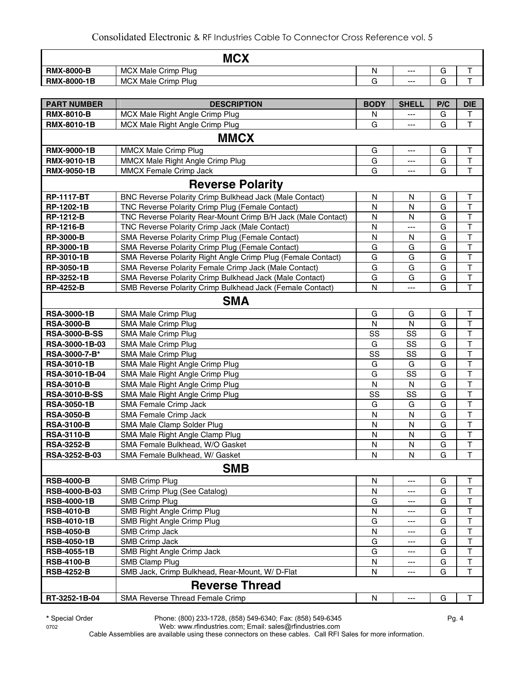|                      | <b>MCX</b>                                                    |              |                      |     |                                                     |
|----------------------|---------------------------------------------------------------|--------------|----------------------|-----|-----------------------------------------------------|
| <b>RMX-8000-B</b>    | <b>MCX Male Crimp Plug</b>                                    | N            | $\scriptstyle\cdots$ | G   | T                                                   |
| <b>RMX-8000-1B</b>   | <b>MCX Male Crimp Plug</b>                                    | G            | $---$                | G   | $\mathsf T$                                         |
|                      |                                                               |              |                      |     |                                                     |
| <b>PART NUMBER</b>   | <b>DESCRIPTION</b>                                            | <b>BODY</b>  | <b>SHELL</b>         | P/C | <b>DIE</b>                                          |
| <b>RMX-8010-B</b>    | MCX Male Right Angle Crimp Plug                               | N            |                      | G   | Τ                                                   |
| <b>RMX-8010-1B</b>   | MCX Male Right Angle Crimp Plug                               | G            |                      | G   | $\overline{\mathsf{T}}$                             |
|                      | <b>MMCX</b>                                                   |              |                      |     |                                                     |
| <b>RMX-9000-1B</b>   | <b>MMCX Male Crimp Plug</b>                                   | G            | $---$                | G   | Τ                                                   |
| <b>RMX-9010-1B</b>   | MMCX Male Right Angle Crimp Plug                              | G            | ---                  | G   | $\top$                                              |
| <b>RMX-9050-1B</b>   | MMCX Female Crimp Jack                                        | G            |                      | G   | T                                                   |
|                      | <b>Reverse Polarity</b>                                       |              |                      |     |                                                     |
| <b>RP-1117-BT</b>    | BNC Reverse Polarity Crimp Bulkhead Jack (Male Contact)       | N            | N                    | G   | Τ                                                   |
| RP-1202-1B           | TNC Reverse Polarity Crimp Plug (Female Contact)              | N            | N                    | G   | T                                                   |
| <b>RP-1212-B</b>     | TNC Reverse Polarity Rear-Mount Crimp B/H Jack (Male Contact) | $\mathsf{N}$ | N                    | G   | T                                                   |
| <b>RP-1216-B</b>     | TNC Reverse Polarity Crimp Jack (Male Contact)                | N            | ---                  | G   | $\top$                                              |
| <b>RP-3000-B</b>     | SMA Reverse Polarity Crimp Plug (Female Contact)              | $\mathsf{N}$ | N                    | G   | $\top$                                              |
| RP-3000-1B           | SMA Reverse Polarity Crimp Plug (Female Contact)              | G            | G                    | G   | $\mathsf{T}$                                        |
| RP-3010-1B           | SMA Reverse Polarity Right Angle Crimp Plug (Female Contact)  | G            | G                    | G   | $\mathsf{T}$                                        |
| RP-3050-1B           | SMA Reverse Polarity Female Crimp Jack (Male Contact)         | G            | G                    | G   | $\top$                                              |
| RP-3252-1B           | SMA Reverse Polarity Crimp Bulkhead Jack (Male Contact)       | G            | G                    | G   | $\overline{\mathsf{T}}$                             |
| <b>RP-4252-B</b>     | SMB Reverse Polarity Crimp Bulkhead Jack (Female Contact)     | N            | ---                  | G   | $\mathsf{T}$                                        |
|                      | <b>SMA</b>                                                    |              |                      |     |                                                     |
| <b>RSA-3000-1B</b>   | SMA Male Crimp Plug                                           | G            | G                    | G   | Τ                                                   |
| <b>RSA-3000-B</b>    | SMA Male Crimp Plug                                           | N            | N                    | G   | T                                                   |
| <b>RSA-3000-B-SS</b> | SMA Male Crimp Plug                                           | SS           | SS                   | G   | $\top$                                              |
| RSA-3000-1B-03       | SMA Male Crimp Plug                                           | G            | SS                   | G   | $\mathsf T$                                         |
| RSA-3000-7-B*        | SMA Male Crimp Plug                                           | SS           | SS                   | G   | $\overline{\mathsf{T}}$                             |
| <b>RSA-3010-1B</b>   | SMA Male Right Angle Crimp Plug                               | G            | G                    | G   | $\top$                                              |
| RSA-3010-1B-04       | SMA Male Right Angle Crimp Plug                               | G            | SS                   | G   | $\sf T$                                             |
| <b>RSA-3010-B</b>    | SMA Male Right Angle Crimp Plug                               | N            | N                    | G   | $\overline{\mathsf{T}}$                             |
| <b>RSA-3010-B-SS</b> | SMA Male Right Angle Crimp Plug                               | SS           | SS                   | G   | $\overline{\mathsf{T}}$                             |
| <b>RSA-3050-1B</b>   | SMA Female Crimp Jack                                         | G            | G                    | G   | $\mathsf T$                                         |
| <b>RSA-3050-B</b>    | <b>SMA Female Crimp Jack</b>                                  | $\mathsf{N}$ | N                    | G   | $\mathsf{T}$                                        |
| <b>RSA-3100-B</b>    | SMA Male Clamp Solder Plug                                    | N            | N                    | G   | $\overline{\mathsf{T}}$<br>$\overline{\phantom{0}}$ |
| <b>RSA-3110-B</b>    | SMA Male Right Angle Clamp Plug                               | N            | N                    | G   | $\mathbf{I}$                                        |
| <b>RSA-3252-B</b>    | SMA Female Bulkhead, W/O Gasket                               | N            | $\mathsf{N}$         | G   | $\top$                                              |
| RSA-3252-B-03        | SMA Female Bulkhead, W/ Gasket                                | N            | N                    | G   | T                                                   |
|                      | <b>SMB</b>                                                    |              |                      |     |                                                     |
| <b>RSB-4000-B</b>    | <b>SMB Crimp Plug</b>                                         | N            |                      | G   | Т                                                   |
| RSB-4000-B-03        | SMB Crimp Plug (See Catalog)                                  | N            |                      | G   | T                                                   |
| <b>RSB-4000-1B</b>   | <b>SMB Crimp Plug</b>                                         | G            |                      | G   | T                                                   |
| <b>RSB-4010-B</b>    | SMB Right Angle Crimp Plug                                    | N            |                      | G   | T                                                   |
| <b>RSB-4010-1B</b>   | SMB Right Angle Crimp Plug                                    | G            |                      | G   | T                                                   |
| <b>RSB-4050-B</b>    | <b>SMB Crimp Jack</b>                                         | N            |                      | G   | $\top$                                              |
| <b>RSB-4050-1B</b>   | SMB Crimp Jack                                                | G            |                      | G   | T                                                   |
| <b>RSB-4055-1B</b>   | SMB Right Angle Crimp Jack                                    | G            | ---                  | G   | T                                                   |
| <b>RSB-4100-B</b>    | <b>SMB Clamp Plug</b>                                         | N            | ---                  | G   | T                                                   |
| <b>RSB-4252-B</b>    | SMB Jack, Crimp Bulkhead, Rear-Mount, W/ D-Flat               | N            | ---                  | G   | т                                                   |
|                      | <b>Reverse Thread</b>                                         |              |                      |     |                                                     |
| RT-3252-1B-04        | SMA Reverse Thread Female Crimp                               | N            | $--$                 | G   | т                                                   |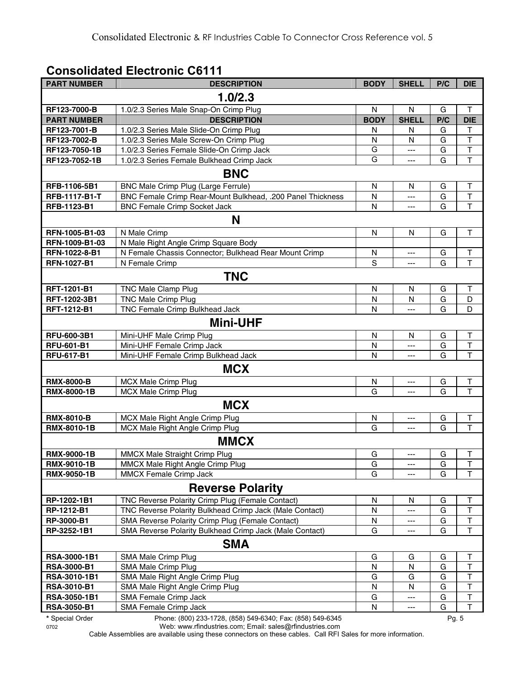#### **Consolidated Electronic C6111**

| <b>PART NUMBER</b>   | <b>DESCRIPTION</b>                                         | <b>BODY</b>  | <b>SHELL</b> | P/C | <b>DIE</b>              |
|----------------------|------------------------------------------------------------|--------------|--------------|-----|-------------------------|
|                      | 1.0/2.3                                                    |              |              |     |                         |
| RF123-7000-B         | 1.0/2.3 Series Male Snap-On Crimp Plug                     | N            | N            | G   | Τ                       |
| <b>PART NUMBER</b>   | <b>DESCRIPTION</b>                                         | <b>BODY</b>  | <b>SHELL</b> | P/C | <b>DIE</b>              |
| RF123-7001-B         | 1.0/2.3 Series Male Slide-On Crimp Plug                    | N            | N            | G   | T                       |
| RF123-7002-B         | 1.0/2.3 Series Male Screw-On Crimp Plug                    | N            | N            | G   | $\overline{\mathsf{T}}$ |
| RF123-7050-1B        | 1.0/2.3 Series Female Slide-On Crimp Jack                  | G            | ---          | G   | $\overline{\mathsf{T}}$ |
| RF123-7052-1B        | 1.0/2.3 Series Female Bulkhead Crimp Jack                  | G            | ---          | G   | $\overline{\mathsf{T}}$ |
|                      | <b>BNC</b>                                                 |              |              |     |                         |
| RFB-1106-5B1         | <b>BNC Male Crimp Plug (Large Ferrule)</b>                 | $\mathsf{N}$ | N            | G   | $\sf T$                 |
| <b>RFB-1117-B1-T</b> | BNC Female Crimp Rear-Mount Bulkhead, .200 Panel Thickness | N            | ---          | G   | T                       |
| RFB-1123-B1          | <b>BNC Female Crimp Socket Jack</b>                        | N            | ---          | G   | $\overline{\mathsf{T}}$ |
|                      | N                                                          |              |              |     |                         |
| RFN-1005-B1-03       | N Male Crimp                                               | $\mathsf{N}$ | N            | G   | $\sf T$                 |
| RFN-1009-B1-03       | N Male Right Angle Crimp Square Body                       |              |              |     |                         |
| RFN-1022-8-B1        | N Female Chassis Connector; Bulkhead Rear Mount Crimp      | N            | ---          | G   | T                       |
| <b>RFN-1027-B1</b>   | N Female Crimp                                             | $\mathbf S$  | ---          | G   | $\overline{\mathsf{T}}$ |
|                      | <b>TNC</b>                                                 |              |              |     |                         |
| RFT-1201-B1          | TNC Male Clamp Plug                                        | N            | N            | G   | Τ                       |
| RFT-1202-3B1         | <b>TNC Male Crimp Plug</b>                                 | N            | N            | G   | D                       |
| RFT-1212-B1          | <b>TNC Female Crimp Bulkhead Jack</b>                      | N            | ---          | G   | D                       |
|                      | <b>Mini-UHF</b>                                            |              |              |     |                         |
| RFU-600-3B1          | Mini-UHF Male Crimp Plug                                   | N            | N            | G   | T                       |
| <b>RFU-601-B1</b>    | Mini-UHF Female Crimp Jack                                 | N            | ---          | G   | $\overline{\mathsf{T}}$ |
| <b>RFU-617-B1</b>    | Mini-UHF Female Crimp Bulkhead Jack                        | N            | ---          | G   | $\overline{\mathsf{T}}$ |
|                      | <b>MCX</b>                                                 |              |              |     |                         |
| <b>RMX-8000-B</b>    | MCX Male Crimp Plug                                        | N            | ---          | G   | T                       |
| RMX-8000-1B          | <b>MCX Male Crimp Plug</b>                                 | G            | ---          | G   | $\overline{\mathsf{T}}$ |
|                      | <b>MCX</b>                                                 |              |              |     |                         |
| <b>RMX-8010-B</b>    | MCX Male Right Angle Crimp Plug                            | N            | ---          | G   | T                       |
| RMX-8010-1B          | MCX Male Right Angle Crimp Plug                            | G            | ---          | G   | T                       |
|                      | <b>MMCX</b>                                                |              |              |     |                         |
| <b>RMX-9000-1B</b>   | MMCX Male Straight Crimp Plug                              | G            | ---          | G   | T                       |
| <b>RMX-9010-1B</b>   | MMCX Male Right Angle Crimp Plug                           | G            | ---          | G   | J.                      |
| <b>RMX-9050-1B</b>   | MMCX Female Crimp Jack                                     | G            | ---          | G   | $\mathsf T$             |
|                      | <b>Reverse Polarity</b>                                    |              |              |     |                         |
| RP-1202-1B1          | TNC Reverse Polarity Crimp Plug (Female Contact)           | N            | N            | G   | T                       |
| RP-1212-B1           | TNC Reverse Polarity Bulkhead Crimp Jack (Male Contact)    | N            | ---          | G   | T                       |
| RP-3000-B1           | SMA Reverse Polarity Crimp Plug (Female Contact)           | N            | ---          | G   | $\sf T$                 |
| RP-3252-1B1          | SMA Reverse Polarity Bulkhead Crimp Jack (Male Contact)    | G            | ---          | G   | T                       |
|                      | <b>SMA</b>                                                 |              |              |     |                         |
| RSA-3000-1B1         | SMA Male Crimp Plug                                        | G            | G            | G   | Т                       |
| <b>RSA-3000-B1</b>   | SMA Male Crimp Plug                                        | N            | N            | G   | $\sf T$                 |
| RSA-3010-1B1         | SMA Male Right Angle Crimp Plug                            | G            | G            | G   | $\mathsf T$             |
| <b>RSA-3010-B1</b>   | SMA Male Right Angle Crimp Plug                            | N            | N            | G   | $\mathsf T$             |
| RSA-3050-1B1         | SMA Female Crimp Jack                                      | G            | ---          | G   | $\sf T$                 |
|                      |                                                            |              |              |     |                         |

**\*** Special Order Phone: (800) 233-1728, (858) 549-6340; Fax: (858) 549-6345 Pg. 5

0702 Web: www.rfindustries.com; Email: sales@rfindustries.com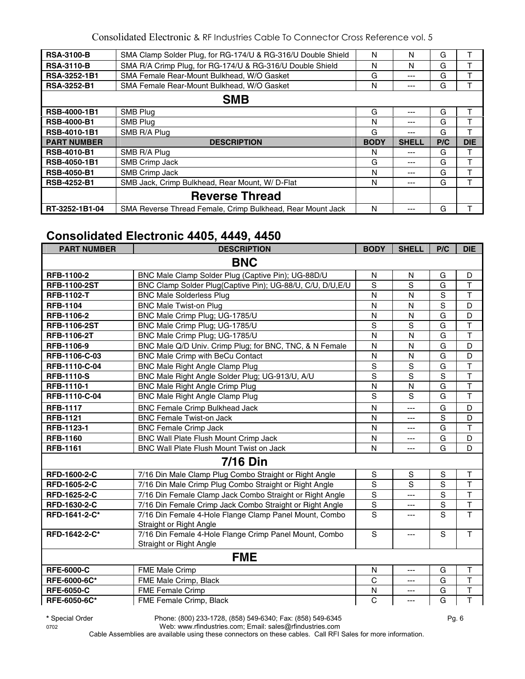| <b>RSA-3100-B</b>   | SMA Clamp Solder Plug, for RG-174/U & RG-316/U Double Shield | N           | N            | G   |            |
|---------------------|--------------------------------------------------------------|-------------|--------------|-----|------------|
| <b>RSA-3110-B</b>   | SMA R/A Crimp Plug, for RG-174/U & RG-316/U Double Shield    | N           | N            | G   |            |
| RSA-3252-1B1        | SMA Female Rear-Mount Bulkhead, W/O Gasket                   | G           | ---          | G   |            |
| <b>RSA-3252-B1</b>  | SMA Female Rear-Mount Bulkhead, W/O Gasket                   | N           | ---          | G   |            |
|                     | <b>SMB</b>                                                   |             |              |     |            |
| RSB-4000-1B1        | SMB Plug                                                     | G           | ---          | G   |            |
| <b>RSB-4000-B1</b>  | <b>SMB Plug</b>                                              | N           | ---          | G   | т          |
| <b>RSB-4010-1B1</b> | SMB R/A Plug                                                 | G           | ---          | G   | ᠇          |
| <b>PART NUMBER</b>  | <b>DESCRIPTION</b>                                           | <b>BODY</b> | <b>SHELL</b> | P/C | <b>DIE</b> |
| <b>RSB-4010-B1</b>  | SMB R/A Plug                                                 | N           | ---          | G   | т          |
| <b>RSB-4050-1B1</b> | <b>SMB Crimp Jack</b>                                        | G           | ---          | G   | т          |
| <b>RSB-4050-B1</b>  | SMB Crimp Jack                                               | N           | ---          | G   |            |
| <b>RSB-4252-B1</b>  | SMB Jack, Crimp Bulkhead, Rear Mount, W/ D-Flat              | N           | ---          | G   |            |
|                     | <b>Reverse Thread</b>                                        |             |              |     |            |
| RT-3252-1B1-04      | SMA Reverse Thread Female, Crimp Bulkhead, Rear Mount Jack   | N           |              | G   |            |

# **Consolidated Electronic 4405, 4449, 4450**

| <b>PART NUMBER</b>  | <b>DESCRIPTION</b>                                         | <b>BODY</b>    | <b>SHELL</b>   | P/C         | <b>DIE</b>              |
|---------------------|------------------------------------------------------------|----------------|----------------|-------------|-------------------------|
|                     | <b>BNC</b>                                                 |                |                |             |                         |
| RFB-1100-2          | BNC Male Clamp Solder Plug (Captive Pin); UG-88D/U         | $\mathsf{N}$   | N              | G           | D                       |
| <b>RFB-1100-2ST</b> | BNC Clamp Solder Plug(Captive Pin); UG-88/U, C/U, D/U, E/U | S              | S              | G           | $\mathsf T$             |
| <b>RFB-1102-T</b>   | <b>BNC Male Solderless Plug</b>                            | N              | N              | S           | $\mathsf T$             |
| <b>RFB-1104</b>     | <b>BNC Male Twist-on Plug</b>                              | N              | $\mathsf{N}$   | S           | D                       |
| RFB-1106-2          | BNC Male Crimp Plug; UG-1785/U                             | N              | $\mathsf{N}$   | G           | D                       |
| <b>RFB-1106-2ST</b> | BNC Male Crimp Plug; UG-1785/U                             | S              | S              | G           | $\mathsf T$             |
| <b>RFB-1106-2T</b>  | BNC Male Crimp Plug; UG-1785/U                             | N              | N              | G           | $\overline{\mathsf{T}}$ |
| <b>RFB-1106-9</b>   | BNC Male Q/D Univ. Crimp Plug; for BNC, TNC, & N Female    | N              | N              | G           | D                       |
| RFB-1106-C-03       | BNC Male Crimp with BeCu Contact                           | $\mathsf{N}$   | N              | G           | D                       |
| RFB-1110-C-04       | <b>BNC Male Right Angle Clamp Plug</b>                     | S              | $\mathbf S$    | G           | $\mathsf{T}$            |
| <b>RFB-1110-S</b>   | BNC Male Right Angle Solder Plug; UG-913/U, A/U            | S              | S              | S           | $\mathsf{T}$            |
| RFB-1110-1          | <b>BNC Male Right Angle Crimp Plug</b>                     | $\mathsf{N}$   | N              | G           | $\mathsf T$             |
| RFB-1110-C-04       | <b>BNC Male Right Angle Clamp Plug</b>                     | S              | S              | G           | $\mathsf{T}$            |
| <b>RFB-1117</b>     | <b>BNC Female Crimp Bulkhead Jack</b>                      | N              | ---            | G           | D                       |
| <b>RFB-1121</b>     | <b>BNC Female Twist-on Jack</b>                            | N              | $---$          | S           | D                       |
| RFB-1123-1          | <b>BNC Female Crimp Jack</b>                               | N              | ---            | G           | T                       |
| <b>RFB-1160</b>     | BNC Wall Plate Flush Mount Crimp Jack                      | $\mathsf{N}$   | ---            | G           | D                       |
| <b>RFB-1161</b>     | BNC Wall Plate Flush Mount Twist on Jack                   | N              | $---$          | G           | D                       |
|                     | <b>7/16 Din</b>                                            |                |                |             |                         |
| RFD-1600-2-C        | 7/16 Din Male Clamp Plug Combo Straight or Right Angle     | S              | S              | S           | $\mathsf T$             |
| RFD-1605-2-C        | 7/16 Din Male Crimp Plug Combo Straight or Right Angle     | S              | S              | S           | $\mathsf{T}$            |
| RFD-1625-2-C        | 7/16 Din Female Clamp Jack Combo Straight or Right Angle   | S              | ---            | S           | $\mathsf T$             |
| RFD-1630-2-C        | 7/16 Din Female Crimp Jack Combo Straight or Right Angle   | $\mathbf S$    | ---            | $\mathbf S$ | $\top$                  |
| RFD-1641-2-C*       | 7/16 Din Female 4-Hole Flange Clamp Panel Mount, Combo     | S              | ---            | S           | T                       |
|                     | Straight or Right Angle                                    |                |                |             |                         |
| RFD-1642-2-C*       | 7/16 Din Female 4-Hole Flange Crimp Panel Mount, Combo     | $\mathsf{s}$   | ---            | $\mathbf S$ | $\overline{1}$          |
|                     | Straight or Right Angle                                    |                |                |             |                         |
|                     | <b>FME</b>                                                 |                |                |             |                         |
| <b>RFE-6000-C</b>   | <b>FME Male Crimp</b>                                      | N              | ---            | G           | $\mathsf T$             |
| RFE-6000-6C*        | FME Male Crimp, Black                                      | $\mathsf{C}$   | ---            | G           | $\mathsf T$             |
| <b>RFE-6050-C</b>   | <b>FME Female Crimp</b>                                    | N              | ---            | G           | $\mathsf T$             |
| RFE-6050-6C*        | FME Female Crimp, Black                                    | $\overline{c}$ | $\overline{a}$ | G           | $\overline{\mathsf{T}}$ |

**\*** Special Order Phone: (800) 233-1728, (858) 549-6340; Fax: (858) 549-6345 Pg. 6

0702 Web: www.rfindustries.com; Email: sales@rfindustries.com Cable Assemblies are available using these connectors on these cables. Call RFI Sales for more information.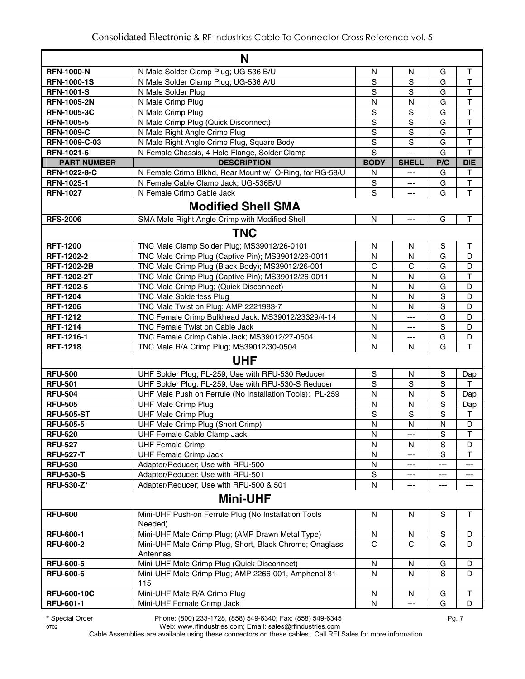|                    | N                                                           |                |                |                |                         |
|--------------------|-------------------------------------------------------------|----------------|----------------|----------------|-------------------------|
| <b>RFN-1000-N</b>  | N Male Solder Clamp Plug; UG-536 B/U                        | N              | N              | G              | Τ                       |
| <b>RFN-1000-1S</b> | N Male Solder Clamp Plug; UG-536 A/U                        | S              | S              | G              | T                       |
| <b>RFN-1001-S</b>  | N Male Solder Plug                                          | S              | S              | G              | T                       |
| <b>RFN-1005-2N</b> | N Male Crimp Plug                                           | N              | N              | G              | T                       |
| <b>RFN-1005-3C</b> | N Male Crimp Plug                                           | $\mathbb S$    | $\mathbf S$    | G              | T                       |
| <b>RFN-1005-5</b>  | N Male Crimp Plug (Quick Disconnect)                        | $\mathsf S$    | $\mathbf S$    | G              | $\mathsf T$             |
| <b>RFN-1009-C</b>  | N Male Right Angle Crimp Plug                               | $\overline{s}$ | $\mathbf S$    | G              | $\overline{\mathsf{T}}$ |
| RFN-1009-C-03      | N Male Right Angle Crimp Plug, Square Body                  | S              | S              | G              | $\top$                  |
| <b>RFN-1021-6</b>  | N Female Chassis, 4-Hole Flange, Solder Clamp               | S              | ---            | G              | T                       |
| <b>PART NUMBER</b> | <b>DESCRIPTION</b>                                          | <b>BODY</b>    | <b>SHELL</b>   | P/C            | <b>DIE</b>              |
| RFN-1022-8-C       | N Female Crimp Blkhd, Rear Mount w/ O-Ring, for RG-58/U     | N              | ---            | G              | Т                       |
| RFN-1025-1         | N Female Cable Clamp Jack; UG-536B/U                        | S              | $---$          | G              | $\mathsf T$             |
| <b>RFN-1027</b>    | N Female Crimp Cable Jack                                   | $\mathsf S$    | $\overline{a}$ | G              | T                       |
|                    | <b>Modified Shell SMA</b>                                   |                |                |                |                         |
| <b>RFS-2006</b>    | SMA Male Right Angle Crimp with Modified Shell              | N              | ---            | G              | T                       |
|                    | <b>TNC</b>                                                  |                |                |                |                         |
| <b>RFT-1200</b>    | TNC Male Clamp Solder Plug; MS39012/26-0101                 | N              | N              | S              | Т                       |
| RFT-1202-2         | TNC Male Crimp Plug (Captive Pin); MS39012/26-0011          | N              | N              | G              | D                       |
| <b>RFT-1202-2B</b> | TNC Male Crimp Plug (Black Body); MS39012/26-001            | $\mathsf C$    | C              | G              | D                       |
| <b>RFT-1202-2T</b> | TNC Male Crimp Plug (Captive Pin); MS39012/26-0011          | $\mathsf{N}$   | ${\sf N}$      | G              | $\top$                  |
| RFT-1202-5         | TNC Male Crimp Plug; (Quick Disconnect)                     | N              | N              | G              | D                       |
| <b>RFT-1204</b>    | <b>TNC Male Solderless Plug</b>                             | N              | N              | $\mathbf S$    | D                       |
| <b>RFT-1206</b>    | TNC Male Twist on Plug; AMP 2221983-7                       | N              | N              | $\mathbf S$    | D                       |
| <b>RFT-1212</b>    | TNC Female Crimp Bulkhead Jack; MS39012/23329/4-14          | $\mathsf{N}$   | ---            | G              | D                       |
| <b>RFT-1214</b>    | <b>TNC Female Twist on Cable Jack</b>                       | N              | ---            | S              | D                       |
| RFT-1216-1         | TNC Female Crimp Cable Jack; MS39012/27-0504                | N              | ---            | G              | D                       |
| <b>RFT-1218</b>    | TNC Male R/A Crimp Plug; MS39012/30-0504                    | $\mathsf{N}$   | N              | G              | Τ                       |
|                    | <b>UHF</b>                                                  |                |                |                |                         |
| <b>RFU-500</b>     | UHF Solder Plug; PL-259; Use with RFU-530 Reducer           | S              | N              | S              | Dap                     |
| <b>RFU-501</b>     | UHF Solder Plug; PL-259; Use with RFU-530-S Reducer         | $\mathsf S$    | S              | S              | $\mathsf{T}$            |
| <b>RFU-504</b>     | UHF Male Push on Ferrule (No Installation Tools); PL-259    | N              | N              | $\mathbf S$    | Dap                     |
| <b>RFU-505</b>     | <b>UHF Male Crimp Plug</b>                                  | N              | N              | $\mathbf S$    | Dap                     |
| <b>RFU-505-ST</b>  | <b>UHF Male Crimp Plug</b>                                  | S              | $\mathbf S$    | $\mathbf S$    | Τ                       |
| <b>RFU-505-5</b>   | UHF Male Crimp Plug (Short Crimp)                           | $\mathsf{N}$   | $\mathsf{N}$   | N              | D                       |
| <b>RFU-520</b>     | UHF Female Cable Clamp Jack                                 | N              | ---            | S              | $\overline{\mathsf{T}}$ |
| <b>RFU-527</b>     | <b>UHF Female Crimp</b>                                     | ${\sf N}$      | $\mathsf{N}$   | $\overline{s}$ | D                       |
| <b>RFU-527-T</b>   | <b>UHF Female Crimp Jack</b>                                | N              | ---            | $\mathbf S$    | T                       |
| <b>RFU-530</b>     | Adapter/Reducer; Use with RFU-500                           | ${\sf N}$      | ---            | ---            | ---                     |
| <b>RFU-530-S</b>   | Adapter/Reducer; Use with RFU-501                           | $\mathsf S$    | ---            | ---            | ---                     |
| <b>RFU-530-Z*</b>  | Adapter/Reducer; Use with RFU-500 & 501                     | $\mathsf{N}$   |                |                | ---                     |
|                    | <b>Mini-UHF</b>                                             |                |                |                |                         |
| <b>RFU-600</b>     | Mini-UHF Push-on Ferrule Plug (No Installation Tools        | N              | N              | S              | T                       |
|                    | Needed)                                                     |                |                |                |                         |
| <b>RFU-600-1</b>   | Mini-UHF Male Crimp Plug; (AMP Drawn Metal Type)            | N              | N              | S              | D                       |
| <b>RFU-600-2</b>   | Mini-UHF Male Crimp Plug, Short, Black Chrome; Onaglass     | $\mathsf{C}$   | $\mathsf{C}$   | G              | D                       |
|                    | Antennas                                                    |                |                |                |                         |
| <b>RFU-600-5</b>   | Mini-UHF Male Crimp Plug (Quick Disconnect)                 | N              | N              | G              | D                       |
| <b>RFU-600-6</b>   | Mini-UHF Male Crimp Plug; AMP 2266-001, Amphenol 81-<br>115 | N              | N              | S              | D                       |
| <b>RFU-600-10C</b> | Mini-UHF Male R/A Crimp Plug                                | ${\sf N}$      | N              | G              | Τ                       |
| <b>RFU-601-1</b>   | Mini-UHF Female Crimp Jack                                  | N              | $\overline{a}$ | G              | D                       |
|                    |                                                             |                |                |                |                         |

**\*** Special Order Phone: (800) 233-1728, (858) 549-6340; Fax: (858) 549-6345 Pg. 7

0702 Web: www.rfindustries.com; Email: sales@rfindustries.com Cable Assemblies are available using these connectors on these cables. Call RFI Sales for more information.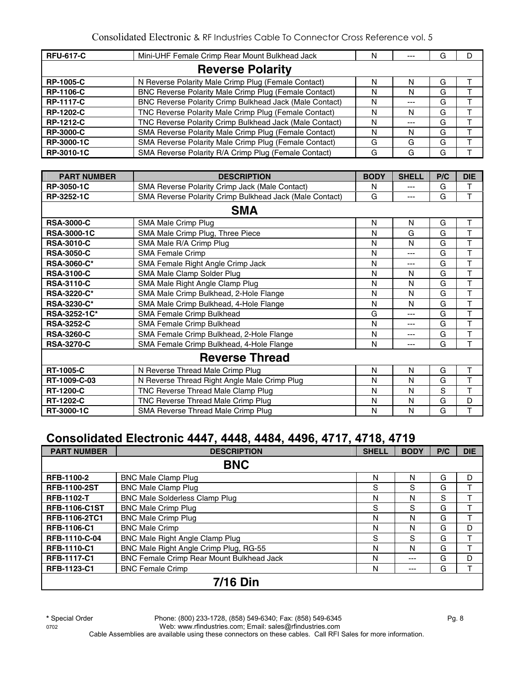| <b>RFU-617-C</b> | Mini-UHF Female Crimp Rear Mount Bulkhead Jack          | N | $- - -$ | G |  |
|------------------|---------------------------------------------------------|---|---------|---|--|
|                  | <b>Reverse Polarity</b>                                 |   |         |   |  |
| <b>RP-1005-C</b> | N Reverse Polarity Male Crimp Plug (Female Contact)     | N | N       | G |  |
| <b>RP-1106-C</b> | BNC Reverse Polarity Male Crimp Plug (Female Contact)   | N | N       | G |  |
| <b>RP-1117-C</b> | BNC Reverse Polarity Crimp Bulkhead Jack (Male Contact) | N | ---     | G |  |
| <b>RP-1202-C</b> | TNC Reverse Polarity Male Crimp Plug (Female Contact)   | N | N       | G |  |
| <b>RP-1212-C</b> | TNC Reverse Polarity Crimp Bulkhead Jack (Male Contact) | N | $- - -$ | G |  |
| <b>RP-3000-C</b> | SMA Reverse Polarity Male Crimp Plug (Female Contact)   | N | N       | G |  |
| RP-3000-1C       | SMA Reverse Polarity Male Crimp Plug (Female Contact)   | G | G       | G |  |
| RP-3010-1C       | SMA Reverse Polarity R/A Crimp Plug (Female Contact)    | G | G       | G |  |

| <b>PART NUMBER</b> | <b>DESCRIPTION</b>                                      | <b>BODY</b> | <b>SHELL</b> | P/C | <b>DIE</b> |
|--------------------|---------------------------------------------------------|-------------|--------------|-----|------------|
| RP-3050-1C         | <b>SMA Reverse Polarity Crimp Jack (Male Contact)</b>   | N           | ---          | G   | т          |
| RP-3252-1C         | SMA Reverse Polarity Crimp Bulkhead Jack (Male Contact) | G           | ---          | G   | T          |
|                    | <b>SMA</b>                                              |             |              |     |            |
| <b>RSA-3000-C</b>  | SMA Male Crimp Plug                                     | N           | N            | G   | Τ          |
| <b>RSA-3000-1C</b> | SMA Male Crimp Plug, Three Piece                        | N           | G            | G   | T          |
| <b>RSA-3010-C</b>  | SMA Male R/A Crimp Plug                                 | N           | N            | G   | T          |
| <b>RSA-3050-C</b>  | <b>SMA Female Crimp</b>                                 | N           | ---          | G   | T          |
| <b>RSA-3060-C*</b> | SMA Female Right Angle Crimp Jack                       | N           | ---          | G   | T          |
| <b>RSA-3100-C</b>  | SMA Male Clamp Solder Plug                              | N           | N            | G   | T          |
| <b>RSA-3110-C</b>  | SMA Male Right Angle Clamp Plug                         | N           | N            | G   | T          |
| <b>RSA-3220-C*</b> | SMA Male Crimp Bulkhead, 2-Hole Flange                  | N           | N            | G   | T          |
| <b>RSA-3230-C*</b> | SMA Male Crimp Bulkhead, 4-Hole Flange                  | N           | N            | G   | T          |
| RSA-3252-1C*       | SMA Female Crimp Bulkhead                               | G           | ---          | G   | T          |
| <b>RSA-3252-C</b>  | SMA Female Crimp Bulkhead                               | N           | ---          | G   | Т          |
| <b>RSA-3260-C</b>  | SMA Female Crimp Bulkhead, 2-Hole Flange                | N           | ---          | G   | т          |
| <b>RSA-3270-C</b>  | SMA Female Crimp Bulkhead, 4-Hole Flange                | N           | ---          | G   | т          |
|                    | <b>Reverse Thread</b>                                   |             |              |     |            |
| <b>RT-1005-C</b>   | N Reverse Thread Male Crimp Plug                        | N           | N            | G   | T          |
| RT-1009-C-03       | N Reverse Thread Right Angle Male Crimp Plug            | N           | N            | G   | T          |
| <b>RT-1200-C</b>   | TNC Reverse Thread Male Clamp Plug                      | N           | N            | S   | т          |
| <b>RT-1202-C</b>   | TNC Reverse Thread Male Crimp Plug                      | N           | N            | G   | D          |
| RT-3000-1C         | SMA Reverse Thread Male Crimp Plug                      | N           | N            | G   | т          |

# **Consolidated Electronic 4447, 4448, 4484, 4496, 4717, 4718, 4719**

| <b>PART NUMBER</b>   | <b>DESCRIPTION</b>                        | <b>SHELL</b> | <b>BODY</b> | P/C | <b>DIE</b> |
|----------------------|-------------------------------------------|--------------|-------------|-----|------------|
|                      | <b>BNC</b>                                |              |             |     |            |
| RFB-1100-2           | <b>BNC Male Clamp Plug</b>                | N            | N           | G   | D          |
| <b>RFB-1100-2ST</b>  | <b>BNC Male Clamp Plug</b>                | S            | S           | G   |            |
| <b>RFB-1102-T</b>    | <b>BNC Male Solderless Clamp Plug</b>     | N            | N           | S   |            |
| <b>RFB-1106-C1ST</b> | <b>BNC Male Crimp Plug</b>                | S            | S           | G   | т          |
| RFB-1106-2TC1        | <b>BNC Male Crimp Plug</b>                | N            | N           | G   |            |
| <b>RFB-1106-C1</b>   | <b>BNC Male Crimp</b>                     | N            | N           | G   | D          |
| RFB-1110-C-04        | BNC Male Right Angle Clamp Plug           | S            | S           | G   |            |
| <b>RFB-1110-C1</b>   | BNC Male Right Angle Crimp Plug, RG-55    | N            | N           | G   | T          |
| <b>RFB-1117-C1</b>   | BNC Female Crimp Rear Mount Bulkhead Jack | N            | ---         | G   | D          |
| RFB-1123-C1          | <b>BNC Female Crimp</b>                   | N            | ---         | G   |            |
|                      | <b>7/16 Din</b>                           |              |             |     |            |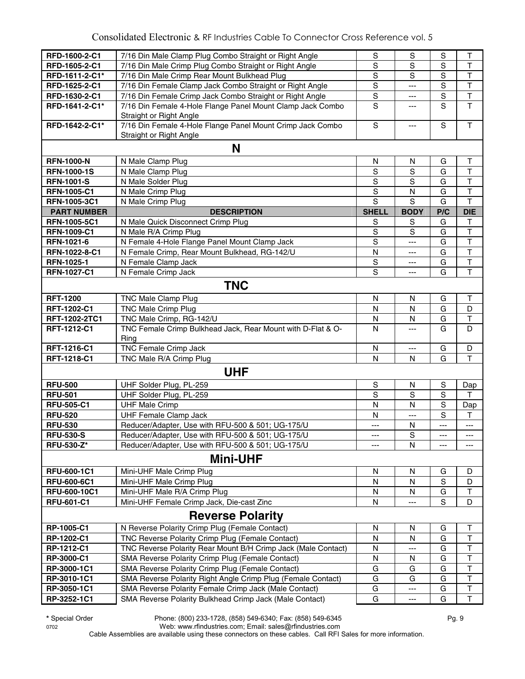| RFD-1600-2-C1      | 7/16 Din Male Clamp Plug Combo Straight or Right Angle                                | S              | S              | S           | Τ                       |
|--------------------|---------------------------------------------------------------------------------------|----------------|----------------|-------------|-------------------------|
| RFD-1605-2-C1      | 7/16 Din Male Crimp Plug Combo Straight or Right Angle                                | $\mathbf S$    | S              | S           | $\top$                  |
| RFD-1611-2-C1*     | 7/16 Din Male Crimp Rear Mount Bulkhead Plug                                          | $\overline{s}$ | $\overline{s}$ | S           | $\overline{\mathsf{T}}$ |
| RFD-1625-2-C1      | 7/16 Din Female Clamp Jack Combo Straight or Right Angle                              | $\overline{s}$ | $---$          | $\mathbf S$ | $\overline{\mathsf{T}}$ |
| RFD-1630-2-C1      | 7/16 Din Female Crimp Jack Combo Straight or Right Angle                              | $\mathbf S$    | ---            | $\mathbf S$ | $\overline{\mathsf{T}}$ |
| RFD-1641-2-C1*     | 7/16 Din Female 4-Hole Flange Panel Mount Clamp Jack Combo<br>Straight or Right Angle | $\overline{s}$ | ---            | S           | $\overline{\mathsf{T}}$ |
| RFD-1642-2-C1*     | 7/16 Din Female 4-Hole Flange Panel Mount Crimp Jack Combo<br>Straight or Right Angle | $\mathbf S$    | ---            | S           | T                       |
|                    | N                                                                                     |                |                |             |                         |
| <b>RFN-1000-N</b>  | N Male Clamp Plug                                                                     | $\mathsf{N}$   | N              | G           | $\top$                  |
| <b>RFN-1000-1S</b> | N Male Clamp Plug                                                                     | $\mathbf S$    | S              | G           | $\mathsf{T}$            |
| <b>RFN-1001-S</b>  | N Male Solder Plug                                                                    | S              | S              | G           | $\mathsf T$             |
| <b>RFN-1005-C1</b> | N Male Crimp Plug                                                                     | ${\mathsf S}$  | $\mathsf{N}$   | G           | $\top$                  |
| RFN-1005-3C1       | N Male Crimp Plug                                                                     | $\mathbf S$    | S              | G           | $\top$                  |
| <b>PART NUMBER</b> | <b>DESCRIPTION</b>                                                                    | <b>SHELL</b>   | <b>BODY</b>    | P/C         | <b>DIE</b>              |
| RFN-1005-5C1       | N Male Quick Disconnect Crimp Plug                                                    | S              | S              | G           | Τ                       |
| <b>RFN-1009-C1</b> | N Male R/A Crimp Plug                                                                 | $\mathbf S$    | S              | G           | $\mathsf T$             |
| RFN-1021-6         | N Female 4-Hole Flange Panel Mount Clamp Jack                                         | $\mathbf S$    | ---            | G           | $\top$                  |
| RFN-1022-8-C1      | N Female Crimp, Rear Mount Bulkhead, RG-142/U                                         | N              | ---            | G           | $\top$                  |
| RFN-1025-1         | N Female Clamp Jack                                                                   | ${\mathsf S}$  | ---            | G           | $\overline{\mathsf{T}}$ |
| <b>RFN-1027-C1</b> | N Female Crimp Jack                                                                   | S              | ---            | G           | $\overline{\mathsf{T}}$ |
|                    |                                                                                       |                |                |             |                         |
|                    | <b>TNC</b>                                                                            |                |                |             |                         |
| <b>RFT-1200</b>    | <b>TNC Male Clamp Plug</b>                                                            | N              | N              | G           | Τ                       |
| RFT-1202-C1        | TNC Male Crimp Plug                                                                   | N              | N              | G           | D                       |
| RFT-1202-2TC1      | TNC Male Crimp, RG-142/U                                                              | N              | N              | G           | $\top$                  |
| RFT-1212-C1        | TNC Female Crimp Bulkhead Jack, Rear Mount with D-Flat & O-<br>Ring                   | N              | $---$          | G           | D                       |
| RFT-1216-C1        | <b>TNC Female Crimp Jack</b>                                                          | N              | ---            | G           | D                       |
| RFT-1218-C1        | TNC Male R/A Crimp Plug                                                               | N              | N              | G           | T                       |
|                    | <b>UHF</b>                                                                            |                |                |             |                         |
| <b>RFU-500</b>     | UHF Solder Plug, PL-259                                                               | $\mathbb S$    | N              | S           | Dap                     |
| <b>RFU-501</b>     | UHF Solder Plug, PL-259                                                               | $\mathbf S$    | S              | S           | Τ                       |
| <b>RFU-505-C1</b>  | <b>UHF Male Crimp</b>                                                                 | N              | N              | S           | Dap                     |
| <b>RFU-520</b>     | <b>UHF Female Clamp Jack</b>                                                          | N              | ---            | $\mathbf S$ | Т                       |
| <b>RFU-530</b>     | Reducer/Adapter, Use with RFU-500 & 501; UG-175/U                                     | ---            | N              | ---         | ---                     |
| <b>RFU-530-S</b>   | Reducer/Adapter, Use with RFU-500 & 501; UG-175/U                                     | ---            | S              | ---         | ---                     |
| <b>RFU-530-Z*</b>  | Reducer/Adapter, Use with RFU-500 & 501; UG-175/U                                     | ---            | N              | ---         | ---                     |
|                    | <b>Mini-UHF</b>                                                                       |                |                |             |                         |
| <b>RFU-600-1C1</b> | Mini-UHF Male Crimp Plug                                                              | N              | N              | G           | D                       |
| <b>RFU-600-6C1</b> | Mini-UHF Male Crimp Plug                                                              | N              | N              | $\mathbf S$ | D                       |
| RFU-600-10C1       | Mini-UHF Male R/A Crimp Plug                                                          | N              | N              | G           | T                       |
| <b>RFU-601-C1</b>  | Mini-UHF Female Crimp Jack, Die-cast Zinc                                             | N              | ---            | $\mathbf S$ | D                       |
|                    | <b>Reverse Polarity</b>                                                               |                |                |             |                         |
| RP-1005-C1         | N Reverse Polarity Crimp Plug (Female Contact)                                        | N              | N              | G           | T                       |
| RP-1202-C1         | TNC Reverse Polarity Crimp Plug (Female Contact)                                      | N              | N              | G           | $\top$                  |
| RP-1212-C1         | TNC Reverse Polarity Rear Mount B/H Crimp Jack (Male Contact)                         | N              | ---            | G           | $\mathsf{T}$            |
| RP-3000-C1         | SMA Reverse Polarity Crimp Plug (Female Contact)                                      | ${\sf N}$      | N              | G           | $\overline{\mathsf{T}}$ |
| RP-3000-1C1        | SMA Reverse Polarity Crimp Plug (Female Contact)                                      | G              | G              | G           | $\overline{\mathsf{T}}$ |
| RP-3010-1C1        | SMA Reverse Polarity Right Angle Crimp Plug (Female Contact)                          | G              | G              | G           | $\overline{\mathsf{T}}$ |
| RP-3050-1C1        | SMA Reverse Polarity Female Crimp Jack (Male Contact)                                 | G              | ---            | G           | $\overline{\mathsf{T}}$ |
| RP-3252-1C1        | SMA Reverse Polarity Bulkhead Crimp Jack (Male Contact)                               | G              | ---            | G           | $\overline{\mathsf{T}}$ |

**\*** Special Order Phone: (800) 233-1728, (858) 549-6340; Fax: (858) 549-6345 Pg. 9

0702 Web: www.rfindustries.com; Email: sales@rfindustries.com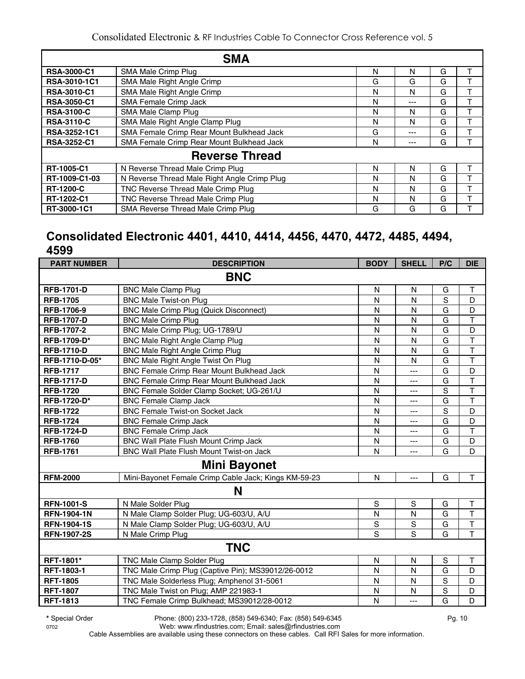|                     | <b>SMA</b>                                   |   |     |   |   |
|---------------------|----------------------------------------------|---|-----|---|---|
| <b>RSA-3000-C1</b>  | SMA Male Crimp Plug                          | N | N   | G |   |
| <b>RSA-3010-1C1</b> | SMA Male Right Angle Crimp                   | G | G   | G |   |
| <b>RSA-3010-C1</b>  | SMA Male Right Angle Crimp                   | N | N   | G |   |
| <b>RSA-3050-C1</b>  | <b>SMA Female Crimp Jack</b>                 | N | --- | G |   |
| <b>RSA-3100-C</b>   | SMA Male Clamp Plug                          | N | N   | G |   |
| <b>RSA-3110-C</b>   | SMA Male Right Angle Clamp Plug              | N | N   | G | ᠇ |
| RSA-3252-1C1        | SMA Female Crimp Rear Mount Bulkhead Jack    | G | --- | G |   |
| <b>RSA-3252-C1</b>  | SMA Female Crimp Rear Mount Bulkhead Jack    | N | --- | G |   |
|                     | <b>Reverse Thread</b>                        |   |     |   |   |
| RT-1005-C1          | N Reverse Thread Male Crimp Plug             | N | N   | G |   |
| RT-1009-C1-03       | N Reverse Thread Male Right Angle Crimp Plug | N | N   | G |   |
| <b>RT-1200-C</b>    | TNC Reverse Thread Male Crimp Plug           | N | N   | G |   |
| RT-1202-C1          | TNC Reverse Thread Male Crimp Plug           | N | N   | G |   |
| RT-3000-1C1         | SMA Reverse Thread Male Crimp Plug           | G | G   | G |   |

#### **Consolidated Electronic 4401, 4410, 4414, 4456, 4470, 4472, 4485, 4494, 4599**

| <b>PART NUMBER</b> | <b>DESCRIPTION</b>                                   | <b>BODY</b>             | <b>SHELL</b>   | P/C            | <b>DIE</b>              |
|--------------------|------------------------------------------------------|-------------------------|----------------|----------------|-------------------------|
|                    | <b>BNC</b>                                           |                         |                |                |                         |
| <b>RFB-1701-D</b>  | <b>BNC Male Clamp Plug</b>                           | N                       | N              | G              | Τ                       |
| <b>RFB-1705</b>    | <b>BNC Male Twist-on Plug</b>                        | N                       | N              | $\overline{s}$ | D                       |
| <b>RFB-1706-9</b>  | <b>BNC Male Crimp Plug (Quick Disconnect)</b>        | N                       | N              | $\overline{G}$ | D                       |
| <b>RFB-1707-D</b>  | <b>BNC Male Crimp Plug</b>                           | N                       | N              | G              | $\overline{\mathsf{T}}$ |
| <b>RFB-1707-2</b>  | BNC Male Crimp Plug; UG-1789/U                       | N                       | N              | G              | D                       |
| RFB-1709-D*        | <b>BNC Male Right Angle Clamp Plug</b>               | N                       | N              | G              | $\mathsf T$             |
| <b>RFB-1710-D</b>  | <b>BNC Male Right Angle Crimp Plug</b>               | N                       | N              | G              | $\overline{\mathsf{T}}$ |
| RFB-1710-D-05*     | BNC Male Right Angle Twist On Plug                   | N                       | N              | G              | $\overline{\mathsf{T}}$ |
| <b>RFB-1717</b>    | BNC Female Crimp Rear Mount Bulkhead Jack            | N                       | $\overline{a}$ | G              | D                       |
| <b>RFB-1717-D</b>  | BNC Female Crimp Rear Mount Bulkhead Jack            | N                       | ---            | G              | $\top$                  |
| <b>RFB-1720</b>    | BNC Female Solder Clamp Socket; UG-261/U             | N                       | $\overline{a}$ | $\mathsf S$    | $\mathsf T$             |
| RFB-1720-D*        | <b>BNC Female Clamp Jack</b>                         | $\overline{\mathsf{N}}$ | ---            | $\overline{G}$ | $\overline{\mathsf{T}}$ |
| <b>RFB-1722</b>    | <b>BNC Female Twist-on Socket Jack</b>               | $\mathsf{N}$            | ---            | S              | D                       |
| <b>RFB-1724</b>    | <b>BNC Female Crimp Jack</b>                         | N                       | ---            | G              | D                       |
| <b>RFB-1724-D</b>  | <b>BNC Female Crimp Jack</b>                         | $\mathsf{N}$            | ---            | G              | $\mathsf T$             |
| <b>RFB-1760</b>    | BNC Wall Plate Flush Mount Crimp Jack                | $\mathsf{N}$            | ---            | G              | D                       |
| <b>RFB-1761</b>    | <b>BNC Wall Plate Flush Mount Twist-on Jack</b>      | $\mathsf{N}$            | $---$          | $\overline{G}$ | D                       |
|                    | <b>Mini Bayonet</b>                                  |                         |                |                |                         |
| <b>RFM-2000</b>    | Mini-Bayonet Female Crimp Cable Jack; Kings KM-59-23 | N                       | $-$            | G              | T                       |
|                    | N                                                    |                         |                |                |                         |
| <b>RFN-1001-S</b>  | N Male Solder Plug                                   | $\mathbf S$             | $\mathbf S$    | G              | $\top$                  |
| <b>RFN-1904-1N</b> | N Male Clamp Solder Plug; UG-603/U, A/U              | N                       | N              | G              | T                       |
| <b>RFN-1904-1S</b> | N Male Clamp Solder Plug; UG-603/U, A/U              | $\mathsf S$             | $\mathbf S$    | G              | $\overline{\mathsf{T}}$ |
| <b>RFN-1907-2S</b> | N Male Crimp Plug                                    | S                       | S              | G              | $\overline{\mathsf{T}}$ |
|                    | <b>TNC</b>                                           |                         |                |                |                         |
| RFT-1801*          | <b>TNC Male Clamp Solder Plug</b>                    | ${\sf N}$               | $\mathsf{N}$   | $\mathbf S$    | $\mathsf T$             |
| <b>RFT-1803-1</b>  | TNC Male Crimp Plug (Captive Pin); MS39012/26-0012   | N                       | N              | G              | D                       |
| <b>RFT-1805</b>    | TNC Male Solderless Plug; Amphenol 31-5061           | N                       | N              | S              | D                       |
| <b>RFT-1807</b>    | TNC Male Twist on Plug; AMP 221983-1                 | $\mathsf{N}$            | N              | $\mathsf S$    | D                       |
| <b>RFT-1813</b>    | TNC Female Crimp Bulkhead; MS39012/28-0012           | N                       | $\overline{a}$ | $\overline{G}$ | D                       |

**\*** Special Order Phone: (800) 233-1728, (858) 549-6340; Fax: (858) 549-6345 Pg. 10

0702 Web: www.rfindustries.com; Email: sales@rfindustries.com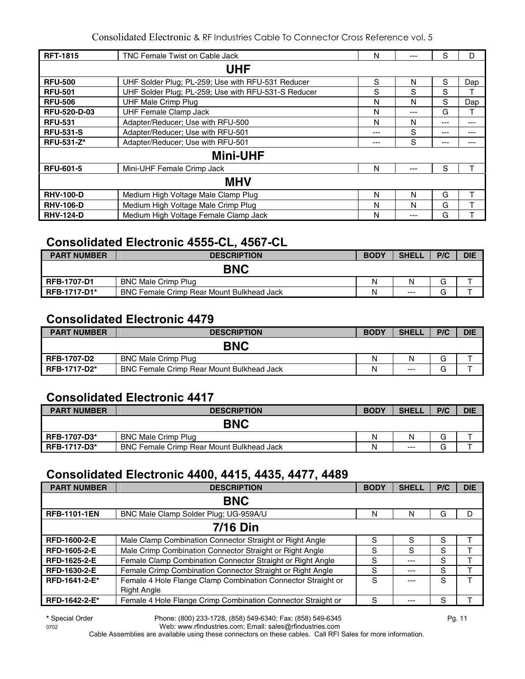| <b>RFT-1815</b>     | TNC Female Twist on Cable Jack                      | N    | ---   | S       | D     |
|---------------------|-----------------------------------------------------|------|-------|---------|-------|
|                     | <b>UHF</b>                                          |      |       |         |       |
| <b>RFU-500</b>      | UHF Solder Plug; PL-259; Use with RFU-531 Reducer   | S    | N     | S       | Dap   |
| <b>RFU-501</b>      | UHF Solder Plug; PL-259; Use with RFU-531-S Reducer | S    | S     | S       |       |
| <b>RFU-506</b>      | <b>UHF Male Crimp Plug</b>                          | N    | N     | S       | Dap   |
| <b>RFU-520-D-03</b> | <b>UHF Female Clamp Jack</b>                        | N    | $---$ | G       | т     |
| <b>RFU-531</b>      | Adapter/Reducer; Use with RFU-500                   | N    | N     | $- - -$ | $---$ |
| <b>RFU-531-S</b>    | Adapter/Reducer; Use with RFU-501                   | $--$ | S     | ---     | ---   |
| <b>RFU-531-Z*</b>   | Adapter/Reducer; Use with RFU-501                   | ---  | S     | $---$   | ---   |
|                     | <b>Mini-UHF</b>                                     |      |       |         |       |
| <b>RFU-601-5</b>    | Mini-UHF Female Crimp Jack                          | N    | $---$ | S       |       |
|                     | <b>MHV</b>                                          |      |       |         |       |
| <b>RHV-100-D</b>    | Medium High Voltage Male Clamp Plug                 | N    | N     | G       |       |
| <b>RHV-106-D</b>    | Medium High Voltage Male Crimp Plug                 | N    | N     | G       |       |
| <b>RHV-124-D</b>    | Medium High Voltage Female Clamp Jack               | N    | ---   | G       |       |

#### **Consolidated Electronic 4555-CL, 4567-CL**

| <b>PART NUMBER</b>  | <b>DESCRIPTION</b>                               | <b>BODY</b> | <b>SHELL</b> | P/C | <b>DIE</b> |
|---------------------|--------------------------------------------------|-------------|--------------|-----|------------|
|                     | <b>BNC</b>                                       |             |              |     |            |
| <b>RFB-1707-D1</b>  | <b>BNC Male Crimp Plug</b>                       | N           | N            | G   |            |
| <b>RFB-1717-D1*</b> | <b>BNC Female Crimp Rear Mount Bulkhead Jack</b> | N           | $---$        | G   |            |

#### **Consolidated Electronic 4479**

| <b>PART NUMBER</b>  | <b>DESCRIPTION</b>                               | <b>BODY</b> | <b>SHELL</b> | P/C | <b>DIE</b> |
|---------------------|--------------------------------------------------|-------------|--------------|-----|------------|
|                     | <b>BNC</b>                                       |             |              |     |            |
| <b>RFB-1707-D2</b>  | <b>BNC Male Crimp Plug</b>                       | N           | N            | G   |            |
| <b>RFB-1717-D2*</b> | <b>BNC Female Crimp Rear Mount Bulkhead Jack</b> | Ν           | $---$        | G   |            |

#### **Consolidated Electronic 4417**

| <b>PART NUMBER</b>  | <b>DESCRIPTION</b>                               | <b>BODY</b> | <b>SHELL</b> | P/C    | <b>DIE</b> |
|---------------------|--------------------------------------------------|-------------|--------------|--------|------------|
|                     | <b>BNC</b>                                       |             |              |        |            |
| <b>RFB-1707-D3*</b> | <b>BNC Male Crimp Plug</b>                       | N           |              | G      |            |
| <b>RFB-1717-D3*</b> | <b>BNC Female Crimp Rear Mount Bulkhead Jack</b> | N           | $---$        | ⌒<br>G |            |

#### **Consolidated Electronic 4400, 4415, 4435, 4477, 4489**

| <b>PART NUMBER</b>  | <b>DESCRIPTION</b>                                           | <b>BODY</b> | <b>SHELL</b> | P/C | <b>DIE</b> |  |  |  |
|---------------------|--------------------------------------------------------------|-------------|--------------|-----|------------|--|--|--|
|                     | <b>BNC</b>                                                   |             |              |     |            |  |  |  |
| <b>RFB-1101-1EN</b> | BNC Male Clamp Solder Plug: UG-959A/U                        | N           | Ν            | G   | D          |  |  |  |
| <b>7/16 Din</b>     |                                                              |             |              |     |            |  |  |  |
| RFD-1600-2-E        | Male Clamp Combination Connector Straight or Right Angle     | S           | S            | S   |            |  |  |  |
| <b>RFD-1605-2-E</b> | Male Crimp Combination Connector Straight or Right Angle     | S           | S            | S   |            |  |  |  |
| RFD-1625-2-E        | Female Clamp Combination Connector Straight or Right Angle   | S           | ---          | S   |            |  |  |  |
| <b>RFD-1630-2-E</b> | Female Crimp Combination Connector Straight or Right Angle   | S           | ---          | S   |            |  |  |  |
| RFD-1641-2-E*       | Female 4 Hole Flange Clamp Combination Connector Straight or | S           |              | S   |            |  |  |  |
|                     | <b>Right Angle</b>                                           |             |              |     |            |  |  |  |
| RFD-1642-2-E*       | Female 4 Hole Flange Crimp Combination Connector Straight or | S           |              | S   |            |  |  |  |

**\*** Special Order Phone: (800) 233-1728, (858) 549-6340; Fax: (858) 549-6345 Pg. 11

0702 Web: www.rfindustries.com; Email: sales@rfindustries.com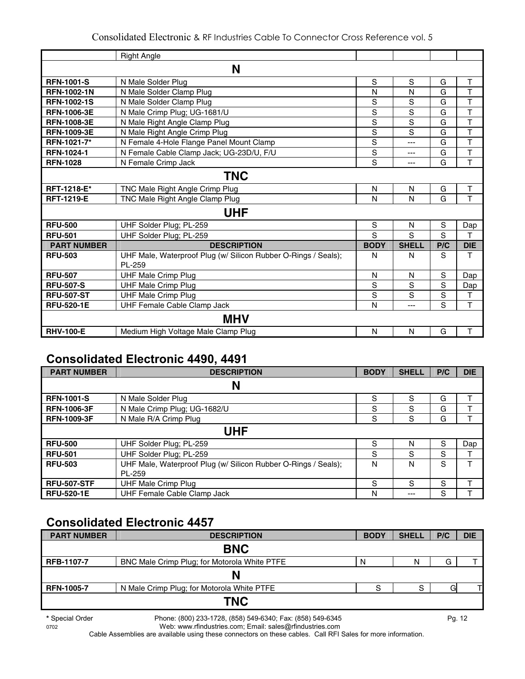|                    | <b>Right Angle</b>                                                       |                |                |             |                         |
|--------------------|--------------------------------------------------------------------------|----------------|----------------|-------------|-------------------------|
|                    | N                                                                        |                |                |             |                         |
| <b>RFN-1001-S</b>  | N Male Solder Plug                                                       | ${\mathsf S}$  | S              | G           | Τ                       |
| <b>RFN-1002-1N</b> | N Male Solder Clamp Plug                                                 | N              | N              | G           | T                       |
| <b>RFN-1002-1S</b> | N Male Solder Clamp Plug                                                 | S              | S              | G           | T                       |
| <b>RFN-1006-3E</b> | N Male Crimp Plug; UG-1681/U                                             | $\mathbf S$    | S              | G           | T                       |
| <b>RFN-1008-3E</b> | N Male Right Angle Clamp Plug                                            | $\overline{s}$ | S              | G           | $\overline{\mathsf{T}}$ |
| <b>RFN-1009-3E</b> | N Male Right Angle Crimp Plug                                            | $\overline{s}$ | $\overline{s}$ | G           | T                       |
| RFN-1021-7*        | N Female 4-Hole Flange Panel Mount Clamp                                 | $\overline{s}$ | $\overline{a}$ | G           | $\overline{\mathsf{T}}$ |
| <b>RFN-1024-1</b>  | N Female Cable Clamp Jack; UG-23D/U, F/U                                 | $\overline{s}$ | $---$          | G           | $\mathsf{T}$            |
| <b>RFN-1028</b>    | N Female Crimp Jack                                                      | S              | ---            | G           | T                       |
|                    |                                                                          |                |                |             |                         |
|                    | <b>TNC</b>                                                               |                |                |             |                         |
| RFT-1218-E*        | TNC Male Right Angle Crimp Plug                                          | N              | N              | G           | $\mathsf T$             |
| <b>RFT-1219-E</b>  | TNC Male Right Angle Clamp Plug                                          | N              | N              | G           | T                       |
|                    | <b>UHF</b>                                                               |                |                |             |                         |
| <b>RFU-500</b>     | UHF Solder Plug; PL-259                                                  | $\mathbf S$    | N              | $\mathbf S$ | Dap                     |
| <b>RFU-501</b>     | UHF Solder Plug; PL-259                                                  | S              | S              | S           | T                       |
| <b>PART NUMBER</b> | <b>DESCRIPTION</b>                                                       | <b>BODY</b>    | <b>SHELL</b>   | P/C         | <b>DIE</b>              |
| <b>RFU-503</b>     | UHF Male, Waterproof Plug (w/ Silicon Rubber O-Rings / Seals);<br>PL-259 | N              | N              | S           | T                       |
| <b>RFU-507</b>     | <b>UHF Male Crimp Plug</b>                                               | N              | N              | S           | Dap                     |
| <b>RFU-507-S</b>   | <b>UHF Male Crimp Plug</b>                                               | $\mathbf S$    | S              | S           | Dap                     |
| <b>RFU-507-ST</b>  | <b>UHF Male Crimp Plug</b>                                               | S              | S              | S           | т                       |
| <b>RFU-520-1E</b>  | UHF Female Cable Clamp Jack                                              | N              | ---            | S           | $\mathsf{T}$            |
|                    | MHV                                                                      |                |                |             |                         |
| <b>RHV-100-E</b>   | Medium High Voltage Male Clamp Plug                                      | N              | N              | G           | $\mathsf T$             |

#### **Consolidated Electronic 4490, 4491**

| <b>PART NUMBER</b> | <b>DESCRIPTION</b>                                             | <b>BODY</b> | <b>SHELL</b> | P/C | <b>DIE</b> |
|--------------------|----------------------------------------------------------------|-------------|--------------|-----|------------|
|                    | N                                                              |             |              |     |            |
| <b>RFN-1001-S</b>  | N Male Solder Plug                                             | S           | S            | G   |            |
| <b>RFN-1006-3F</b> | N Male Crimp Plug; UG-1682/U                                   | S           | S            | G   |            |
| <b>RFN-1009-3F</b> | N Male R/A Crimp Plug                                          | S           | S            | G   |            |
|                    | <b>UHF</b>                                                     |             |              |     |            |
| <b>RFU-500</b>     | UHF Solder Plug; PL-259                                        | S           | N            | S   | Dap        |
| <b>RFU-501</b>     | UHF Solder Plug; PL-259                                        | S           | S            | S   |            |
| <b>RFU-503</b>     | UHF Male, Waterproof Plug (w/ Silicon Rubber O-Rings / Seals); | N           | N            | S   | т          |
|                    | PL-259                                                         |             |              |     |            |
| <b>RFU-507-STF</b> | <b>UHF Male Crimp Plug</b>                                     | S           | S            | S   | т          |
| <b>RFU-520-1E</b>  | UHF Female Cable Clamp Jack                                    | N           | ---          | S   |            |

## **Consolidated Electronic 4457**

| <b>PART NUMBER</b> | <b>DESCRIPTION</b>                           | <b>BODY</b> | <b>SHELL</b> | P/C | <b>DIE</b> |
|--------------------|----------------------------------------------|-------------|--------------|-----|------------|
|                    | <b>BNC</b>                                   |             |              |     |            |
| <b>RFB-1107-7</b>  | BNC Male Crimp Plug; for Motorola White PTFE | N           | N            | G   |            |
|                    | N                                            |             |              |     |            |
| <b>RFN-1005-7</b>  | N Male Crimp Plug; for Motorola White PTFE   | c           | S            | Gl  |            |
|                    | <b>TNC</b>                                   |             |              |     |            |

**\*** Special Order Phone: (800) 233-1728, (858) 549-6340; Fax: (858) 549-6345 Pg. 12

0702 Web: www.rfindustries.com; Email: sales@rfindustries.com Cable Assemblies are available using these connectors on these cables. Call RFI Sales for more information.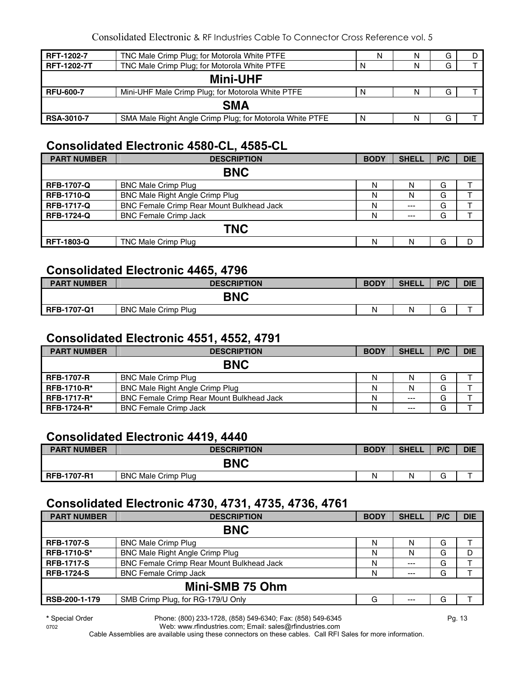| RFT-1202-7         | TNC Male Crimp Plug; for Motorola White PTFE             | N | N | G |  |  |
|--------------------|----------------------------------------------------------|---|---|---|--|--|
| <b>RFT-1202-7T</b> | TNC Male Crimp Plug; for Motorola White PTFE             | N | N |   |  |  |
| <b>Mini-UHF</b>    |                                                          |   |   |   |  |  |
| <b>RFU-600-7</b>   | Mini-UHF Male Crimp Plug; for Motorola White PTFE        | N | N |   |  |  |
| <b>SMA</b>         |                                                          |   |   |   |  |  |
| <b>RSA-3010-7</b>  | SMA Male Right Angle Crimp Plug; for Motorola White PTFE | N | N | G |  |  |

#### **Consolidated Electronic 4580-CL, 4585-CL**

| <b>PART NUMBER</b> | <b>DESCRIPTION</b>                               | <b>BODY</b> | <b>SHELL</b> | P/C | <b>DIE</b> |  |
|--------------------|--------------------------------------------------|-------------|--------------|-----|------------|--|
| <b>BNC</b>         |                                                  |             |              |     |            |  |
| <b>RFB-1707-Q</b>  | <b>BNC Male Crimp Plug</b>                       | N           | N            | G   |            |  |
| <b>RFB-1710-Q</b>  | <b>BNC Male Right Angle Crimp Plug</b>           | N           | N            | G   |            |  |
| <b>RFB-1717-Q</b>  | <b>BNC Female Crimp Rear Mount Bulkhead Jack</b> | N           | $---$        | G   |            |  |
| <b>RFB-1724-Q</b>  | <b>BNC Female Crimp Jack</b>                     | N           | $---$        | G   |            |  |
| <b>TNC</b>         |                                                  |             |              |     |            |  |
| <b>RFT-1803-Q</b>  | <b>TNC Male Crimp Plug</b>                       | N           | N            | G   | D          |  |

#### **Consolidated Electronic 4465, 4796**

| <b>PART NUMBER</b> | <b>DESCRIPTION</b>         | <b>BODY</b> | <b>SHELL</b> | P/C    | <b>DIE</b> |  |
|--------------------|----------------------------|-------------|--------------|--------|------------|--|
| <b>BNC</b>         |                            |             |              |        |            |  |
| <b>RFB-1707-Q1</b> | <b>BNC Male Crimp Plug</b> | Ν           | N            | $\sim$ |            |  |

#### **Consolidated Electronic 4551, 4552, 4791**

| <b>PART NUMBER</b> | <b>DESCRIPTION</b>                               | <b>BODY</b> | <b>SHELL</b> | P/C | <b>DIE</b> |  |  |
|--------------------|--------------------------------------------------|-------------|--------------|-----|------------|--|--|
| <b>BNC</b>         |                                                  |             |              |     |            |  |  |
| <b>RFB-1707-R</b>  | <b>BNC Male Crimp Plug</b>                       | Ν           | N            | G   |            |  |  |
| <b>RFB-1710-R*</b> | <b>BNC Male Right Angle Crimp Plug</b>           | Ν           | N            | G   |            |  |  |
| <b>RFB-1717-R*</b> | <b>BNC Female Crimp Rear Mount Bulkhead Jack</b> | N           | $---$        | G   |            |  |  |
| <b>RFB-1724-R*</b> | <b>BNC Female Crimp Jack</b>                     | N           | $--$         | G   |            |  |  |

#### **Consolidated Electronic 4419, 4440**

| <b>PART NUMBER</b> | <b>DESCRIPTION</b>         | <b>BODY</b> | <b>SHELL</b> | P/C         | <b>DIE</b> |
|--------------------|----------------------------|-------------|--------------|-------------|------------|
|                    | <b>BNC</b>                 |             |              |             |            |
| <b>RFB-1707-R1</b> | <b>BNC Male Crimp Plug</b> | N           | N            | $\sim$<br>G |            |

#### **Consolidated Electronic 4730, 4731, 4735, 4736, 4761**

| <b>PART NUMBER</b> | <b>DESCRIPTION</b>                               | <b>BODY</b> | <b>SHELL</b> | P/C | <b>DIE</b> |  |
|--------------------|--------------------------------------------------|-------------|--------------|-----|------------|--|
| <b>BNC</b>         |                                                  |             |              |     |            |  |
| <b>RFB-1707-S</b>  | <b>BNC Male Crimp Plug</b>                       | N           | N            | G   |            |  |
| <b>RFB-1710-S*</b> | BNC Male Right Angle Crimp Plug                  | N           | N            | G   | D          |  |
| <b>RFB-1717-S</b>  | <b>BNC Female Crimp Rear Mount Bulkhead Jack</b> | N           | $---$        | G   |            |  |
| <b>RFB-1724-S</b>  | <b>BNC Female Crimp Jack</b>                     | N           | $---$        | G   |            |  |
| Mini-SMB 75 Ohm    |                                                  |             |              |     |            |  |
| RSB-200-1-179      | SMB Crimp Plug, for RG-179/U Only                | G           | ---          | G   |            |  |

**\*** Special Order Phone: (800) 233-1728, (858) 549-6340; Fax: (858) 549-6345 Pg. 13

0702 Web: www.rfindustries.com; Email: sales@rfindustries.com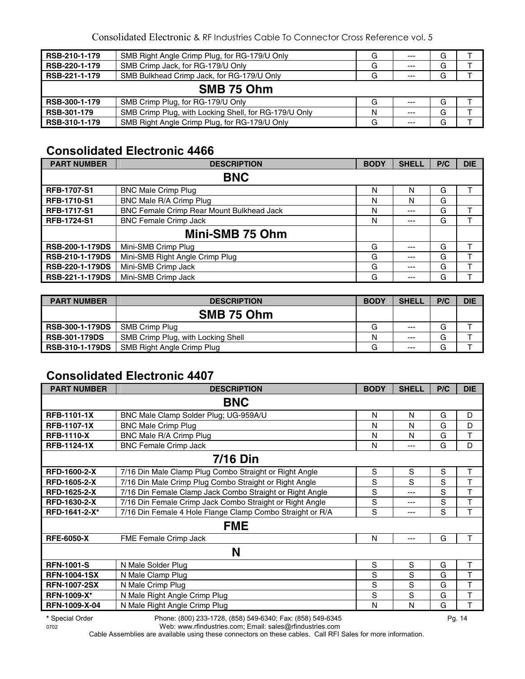| RSB-210-1-179 | SMB Right Angle Crimp Plug, for RG-179/U Only         | G | $---$ | G |  |  |
|---------------|-------------------------------------------------------|---|-------|---|--|--|
| RSB-220-1-179 | SMB Crimp Jack, for RG-179/U Only                     | G | $---$ | G |  |  |
| RSB-221-1-179 | SMB Bulkhead Crimp Jack, for RG-179/U Only            | G | $---$ | G |  |  |
| SMB 75 Ohm    |                                                       |   |       |   |  |  |
| RSB-300-1-179 | SMB Crimp Plug, for RG-179/U Only                     | G | $--$  | G |  |  |
| RSB-301-179   | SMB Crimp Plug, with Locking Shell, for RG-179/U Only | N | $--$  | G |  |  |
| RSB-310-1-179 | SMB Right Angle Crimp Plug, for RG-179/U Only         | G | $---$ | G |  |  |

## **Consolidated Electronic 4466**

| <b>PART NUMBER</b>     | <b>DESCRIPTION</b>                        | <b>BODY</b> | <b>SHELL</b> | P/C | <b>DIE</b> |
|------------------------|-------------------------------------------|-------------|--------------|-----|------------|
|                        | <b>BNC</b>                                |             |              |     |            |
| <b>RFB-1707-S1</b>     | <b>BNC Male Crimp Plug</b>                | N           | N            | G   |            |
| <b>RFB-1710-S1</b>     | BNC Male R/A Crimp Plug                   | N           | N            | G   |            |
| <b>RFB-1717-S1</b>     | BNC Female Crimp Rear Mount Bulkhead Jack | N           | $---$        | G   |            |
| <b>RFB-1724-S1</b>     | <b>BNC Female Crimp Jack</b>              | N           | ---          | G   |            |
|                        | Mini-SMB 75 Ohm                           |             |              |     |            |
| <b>RSB-200-1-179DS</b> | Mini-SMB Crimp Plug                       | G           | ---          | G   |            |
| <b>RSB-210-1-179DS</b> | Mini-SMB Right Angle Crimp Plug           | G           | ---          | G   |            |
| <b>RSB-220-1-179DS</b> | Mini-SMB Crimp Jack                       | G           | ---          | G   |            |
| <b>RSB-221-1-179DS</b> | Mini-SMB Crimp Jack                       | G           | ---          | G   |            |

| <b>PART NUMBER</b>     | <b>DESCRIPTION</b>                 | <b>BODY</b> | <b>SHELL</b> | P/C | <b>DIE</b> |
|------------------------|------------------------------------|-------------|--------------|-----|------------|
|                        | SMB 75 Ohm                         |             |              |     |            |
| <b>RSB-300-1-179DS</b> | SMB Crimp Plug                     | G           | $---$        | G   |            |
| <b>RSB-301-179DS</b>   | SMB Crimp Plug, with Locking Shell | N           | $---$        | G   |            |
| <b>RSB-310-1-179DS</b> | SMB Right Angle Crimp Plug         | G           | $---$        | G   |            |

## **Consolidated Electronic 4407**

| <b>PART NUMBER</b>  | <b>DESCRIPTION</b>                                        | <b>BODY</b> | <b>SHELL</b> | P/C | <b>DIE</b> |  |  |
|---------------------|-----------------------------------------------------------|-------------|--------------|-----|------------|--|--|
| <b>BNC</b>          |                                                           |             |              |     |            |  |  |
| <b>RFB-1101-1X</b>  | BNC Male Clamp Solder Plug; UG-959A/U                     | N           | N            | G   | D          |  |  |
| <b>RFB-1107-1X</b>  | <b>BNC Male Crimp Plug</b>                                | N           | N            | G   | D          |  |  |
| <b>RFB-1110-X</b>   | BNC Male R/A Crimp Plug                                   | N           | N            | G   | т          |  |  |
| <b>RFB-1124-1X</b>  | <b>BNC Female Crimp Jack</b>                              | N           | ---          | G   | D          |  |  |
| <b>7/16 Din</b>     |                                                           |             |              |     |            |  |  |
| <b>RFD-1600-2-X</b> | 7/16 Din Male Clamp Plug Combo Straight or Right Angle    | S           | S            | S   | т          |  |  |
| <b>RFD-1605-2-X</b> | 7/16 Din Male Crimp Plug Combo Straight or Right Angle    | S           | S            | S   | T          |  |  |
| RFD-1625-2-X        | 7/16 Din Female Clamp Jack Combo Straight or Right Angle  | S           | ---          | S   | т          |  |  |
| RFD-1630-2-X        | 7/16 Din Female Crimp Jack Combo Straight or Right Angle  | S           | ---          | S   | T          |  |  |
| RFD-1641-2-X*       | 7/16 Din Female 4 Hole Flange Clamp Combo Straight or R/A | S           | ---          | S   | Т          |  |  |
|                     | <b>FME</b>                                                |             |              |     |            |  |  |
| <b>RFE-6050-X</b>   | FME Female Crimp Jack                                     | N           | ---          | G   | т          |  |  |
| N                   |                                                           |             |              |     |            |  |  |
| <b>RFN-1001-S</b>   | N Male Solder Plug                                        | S           | S            | G   | т          |  |  |
| <b>RFN-1004-1SX</b> | N Male Clamp Plug                                         | S           | S            | G   | Т          |  |  |
| <b>RFN-1007-2SX</b> | N Male Crimp Plug                                         | S           | S            | G   | Т          |  |  |
| <b>RFN-1009-X*</b>  | N Male Right Angle Crimp Plug                             | S           | S            | G   | т          |  |  |
| RFN-1009-X-04       | N Male Right Angle Crimp Plug                             | N           | N            | G   | T          |  |  |

**\*** Special Order Phone: (800) 233-1728, (858) 549-6340; Fax: (858) 549-6345 Pg. 14

0702 Web: www.rfindustries.com; Email: sales@rfindustries.com